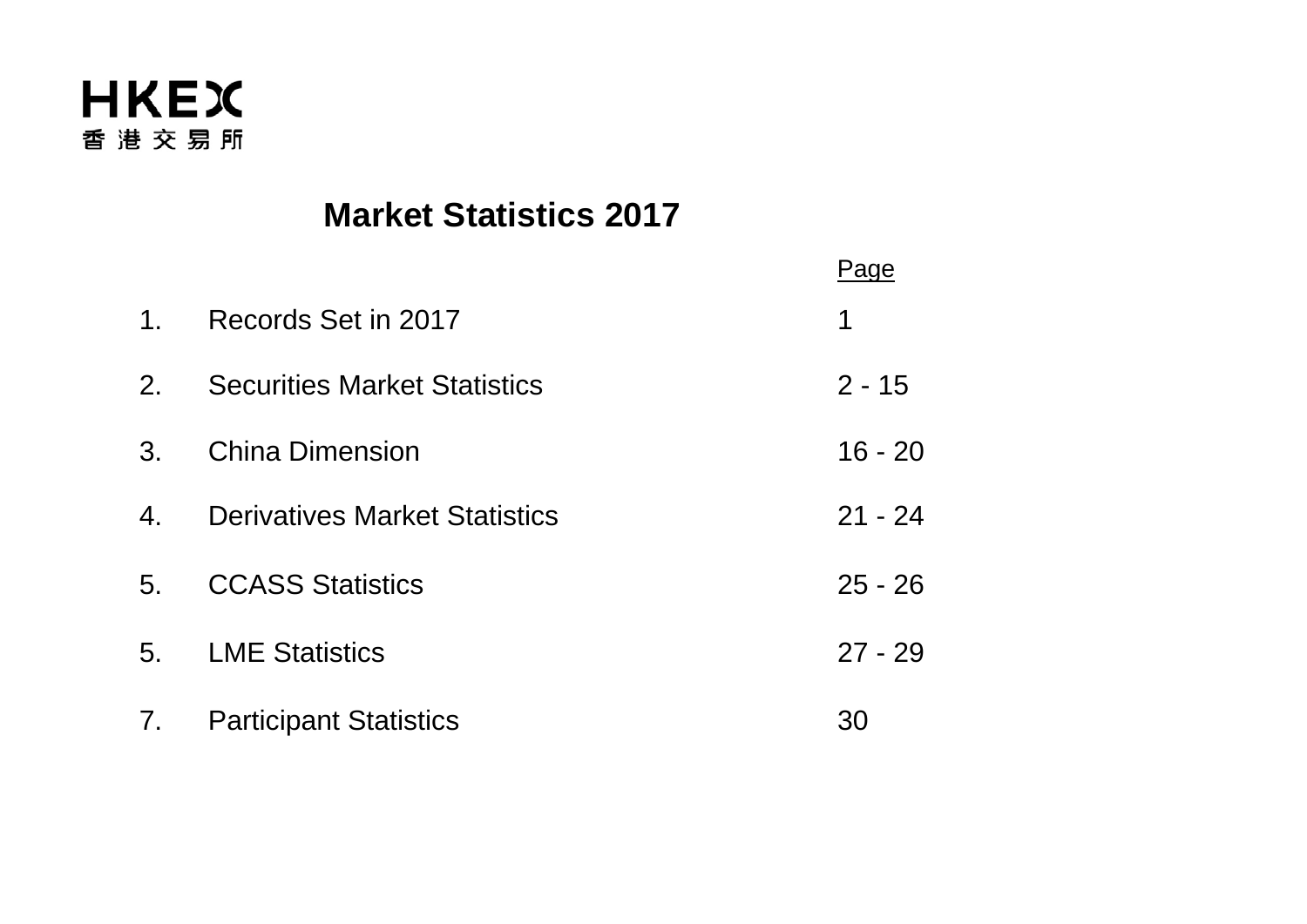

# **Market Statistics 2017**

|                |                                      | Page      |
|----------------|--------------------------------------|-----------|
| $1_{-}$        | Records Set in 2017                  | 1         |
| $2_{\cdot}$    | <b>Securities Market Statistics</b>  | $2 - 15$  |
| 3.             | <b>China Dimension</b>               | $16 - 20$ |
| 4.             | <b>Derivatives Market Statistics</b> | $21 - 24$ |
| 5 <sub>1</sub> | <b>CCASS Statistics</b>              | $25 - 26$ |
| 5 <sub>1</sub> | <b>LME Statistics</b>                | $27 - 29$ |
| 7.             | <b>Participant Statistics</b>        | 30        |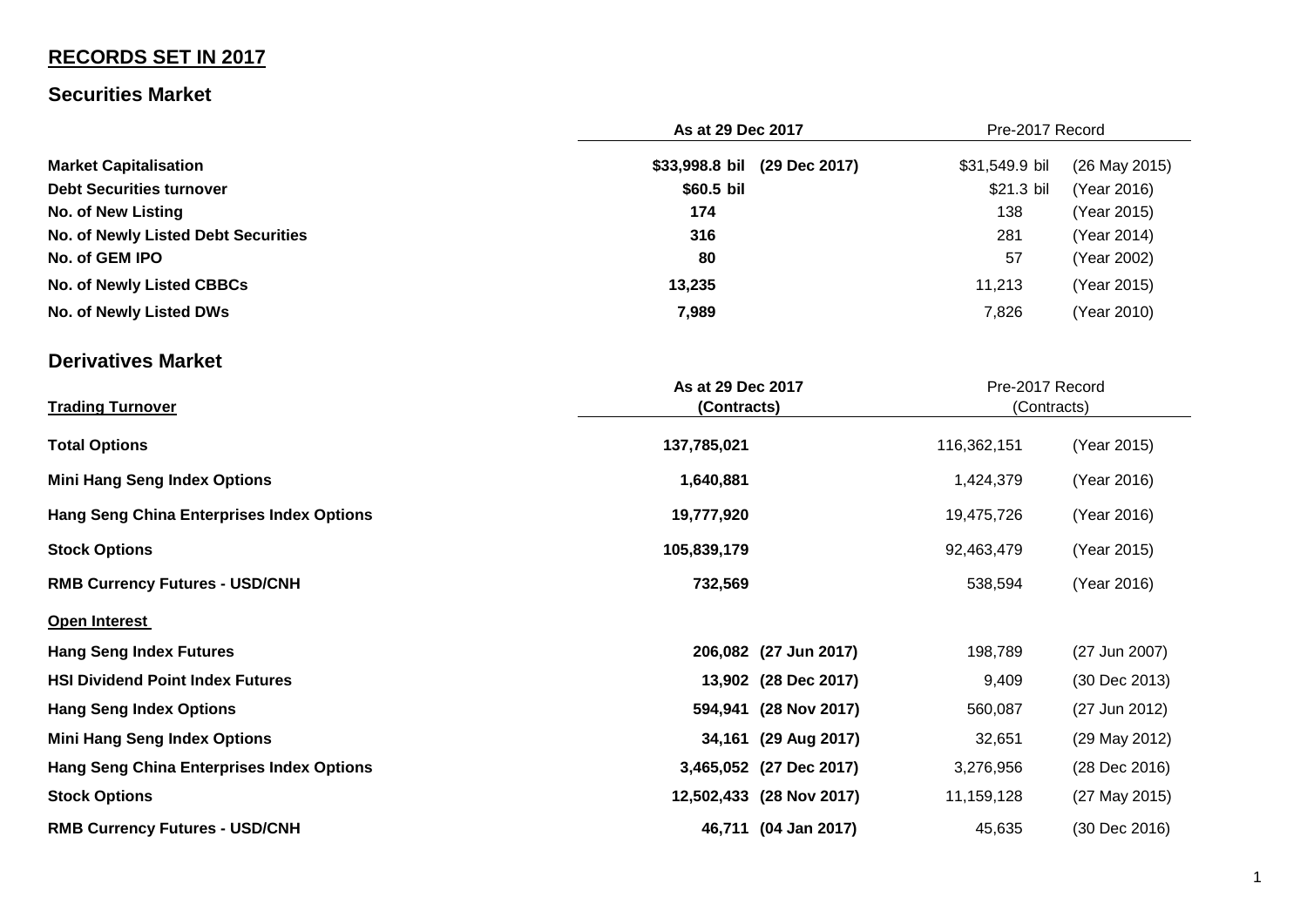# **RECORDS SET IN 2017**

## **Securities Market**

|                                     | As at 29 Dec 2017            |                | Pre-2017 Record |  |
|-------------------------------------|------------------------------|----------------|-----------------|--|
| <b>Market Capitalisation</b>        | \$33,998.8 bil (29 Dec 2017) | \$31,549.9 bil | (26 May 2015)   |  |
| <b>Debt Securities turnover</b>     | \$60.5 bil                   | \$21.3 bil     | (Year 2016)     |  |
| <b>No. of New Listing</b>           | 174                          | 138            | (Year 2015)     |  |
| No. of Newly Listed Debt Securities | 316                          | 281            | (Year 2014)     |  |
| No. of GEM IPO                      | 80                           | 57             | (Year 2002)     |  |
| No. of Newly Listed CBBCs           | 13,235                       | 11,213         | (Year 2015)     |  |
| No. of Newly Listed DWs             | 7,989                        | 7,826          | (Year 2010)     |  |

# **Derivatives Market**

| <b>Trading Turnover</b>                          | As at 29 Dec 2017<br>(Contracts) | Pre-2017 Record<br>(Contracts) |             |               |
|--------------------------------------------------|----------------------------------|--------------------------------|-------------|---------------|
| <b>Total Options</b>                             | 137,785,021                      |                                | 116,362,151 | (Year 2015)   |
| <b>Mini Hang Seng Index Options</b>              | 1,640,881                        |                                | 1,424,379   | (Year 2016)   |
| <b>Hang Seng China Enterprises Index Options</b> | 19,777,920                       |                                | 19,475,726  | (Year 2016)   |
| <b>Stock Options</b>                             | 105,839,179                      |                                | 92,463,479  | (Year 2015)   |
| <b>RMB Currency Futures - USD/CNH</b>            | 732,569                          |                                | 538,594     | (Year 2016)   |
| Open Interest                                    |                                  |                                |             |               |
| <b>Hang Seng Index Futures</b>                   |                                  | 206,082 (27 Jun 2017)          | 198,789     | (27 Jun 2007) |
| <b>HSI Dividend Point Index Futures</b>          |                                  | 13,902 (28 Dec 2017)           | 9,409       | (30 Dec 2013) |
| <b>Hang Seng Index Options</b>                   |                                  | 594,941 (28 Nov 2017)          | 560,087     | (27 Jun 2012) |
| <b>Mini Hang Seng Index Options</b>              |                                  | 34,161 (29 Aug 2017)           | 32,651      | (29 May 2012) |
| <b>Hang Seng China Enterprises Index Options</b> |                                  | 3,465,052 (27 Dec 2017)        | 3,276,956   | (28 Dec 2016) |
| <b>Stock Options</b>                             | 12,502,433 (28 Nov 2017)         |                                | 11,159,128  | (27 May 2015) |
| <b>RMB Currency Futures - USD/CNH</b>            |                                  | 46,711 (04 Jan 2017)           | 45,635      | (30 Dec 2016) |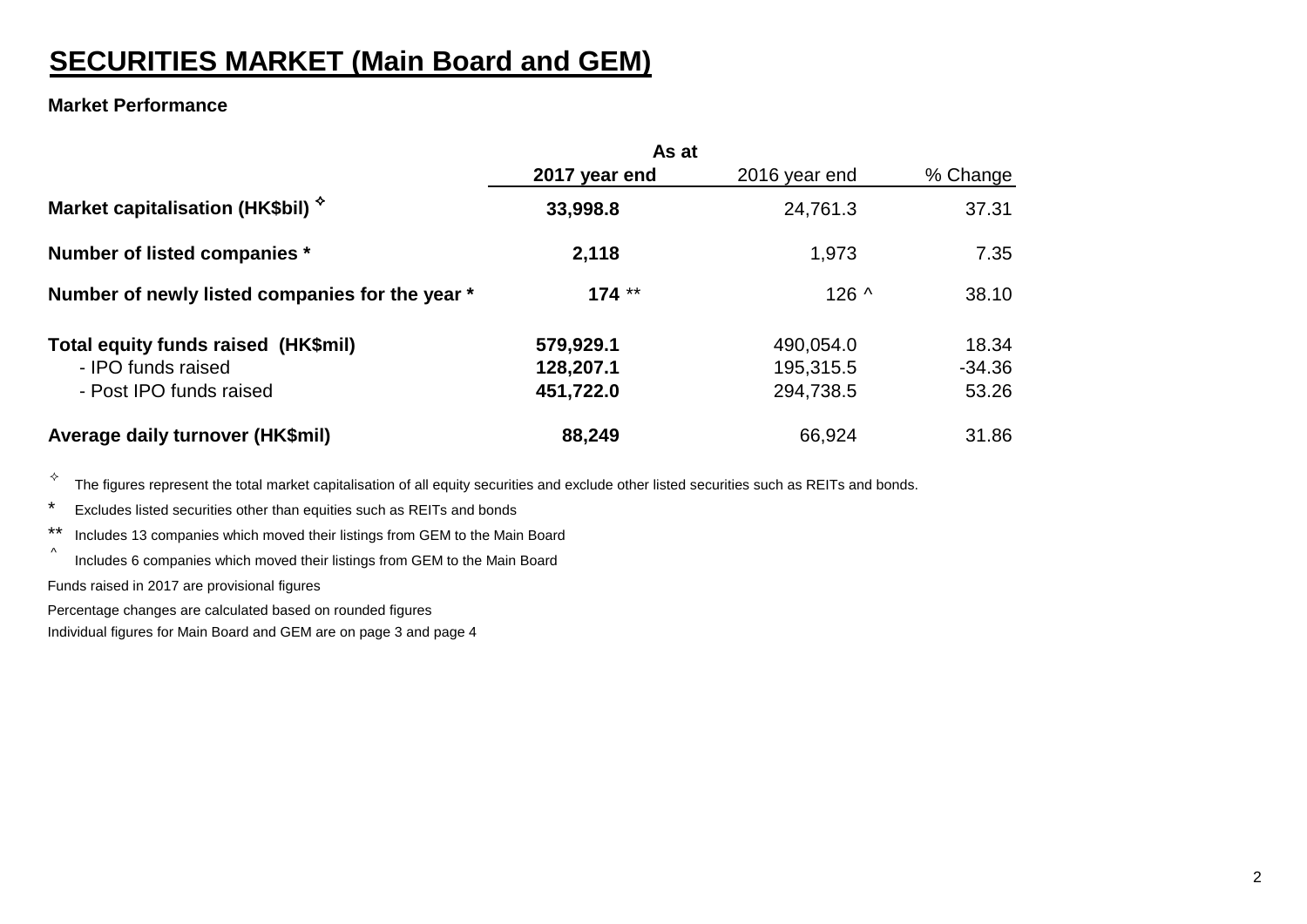# **SECURITIES MARKET (Main Board and GEM)**

### **Market Performance**

|                                                 | As at         |               |          |
|-------------------------------------------------|---------------|---------------|----------|
|                                                 | 2017 year end | 2016 year end | % Change |
| Market capitalisation (HK\$bil) $\hat{y}$       | 33,998.8      | 24,761.3      | 37.31    |
| Number of listed companies *                    | 2,118         | 1,973         | 7.35     |
| Number of newly listed companies for the year * | $174**$       | $126^{\circ}$ | 38.10    |
| Total equity funds raised (HK\$mil)             | 579,929.1     | 490,054.0     | 18.34    |
| - IPO funds raised                              | 128,207.1     | 195,315.5     | $-34.36$ |
| - Post IPO funds raised                         | 451,722.0     | 294,738.5     | 53.26    |
| Average daily turnover (HK\$mil)                | 88,249        | 66,924        | 31.86    |

 $\overrightarrow{v}$  The figures represent the total market capitalisation of all equity securities and exclude other listed securities such as REITs and bonds.

- \* Excludes listed securities other than equities such as REITs and bonds
- \*\* Includes 13 companies which moved their listings from GEM to the Main Board
- ^ Includes 6 companies which moved their listings from GEM to the Main Board

Funds raised in 2017 are provisional figures

Percentage changes are calculated based on rounded figures

Individual figures for Main Board and GEM are on page 3 and page 4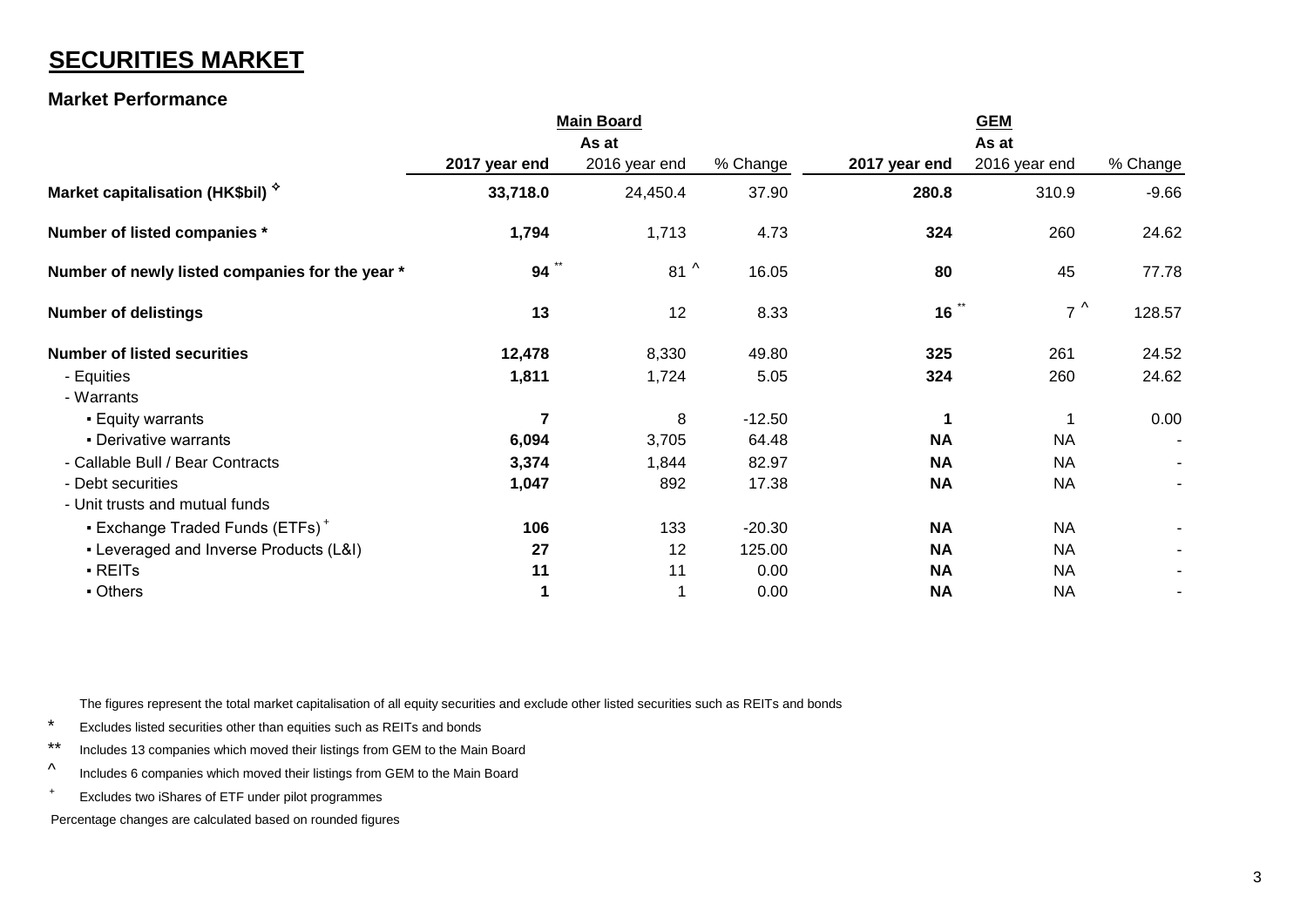# **SECURITIES MARKET**

### **Market Performance**

|                                                 | <b>Main Board</b> |               |          |                           | <b>GEM</b>    |          |
|-------------------------------------------------|-------------------|---------------|----------|---------------------------|---------------|----------|
|                                                 |                   | As at         |          |                           | As at         |          |
|                                                 | 2017 year end     | 2016 year end | % Change | 2017 year end             | 2016 year end | % Change |
| Market capitalisation (HK\$bil) *               | 33,718.0          | 24,450.4      | 37.90    | 280.8                     | 310.9         | $-9.66$  |
| Number of listed companies *                    | 1,794             | 1,713         | 4.73     | 324                       | 260           | 24.62    |
| Number of newly listed companies for the year * | $94$ **           | $81^{\circ}$  | 16.05    | 80                        | 45            | 77.78    |
| <b>Number of delistings</b>                     | 13                | 12            | 8.33     | $16$ $\ddot{\phantom{1}}$ | $7^{\wedge}$  | 128.57   |
| <b>Number of listed securities</b>              | 12,478            | 8,330         | 49.80    | 325                       | 261           | 24.52    |
| - Equities                                      | 1,811             | 1,724         | 5.05     | 324                       | 260           | 24.62    |
| - Warrants                                      |                   |               |          |                           |               |          |
| <b>Equity warrants</b>                          | $\overline{7}$    | 8             | $-12.50$ | 1                         |               | 0.00     |
| • Derivative warrants                           | 6,094             | 3,705         | 64.48    | <b>NA</b>                 | <b>NA</b>     |          |
| - Callable Bull / Bear Contracts                | 3,374             | 1,844         | 82.97    | <b>NA</b>                 | <b>NA</b>     |          |
| - Debt securities                               | 1,047             | 892           | 17.38    | <b>NA</b>                 | <b>NA</b>     |          |
| - Unit trusts and mutual funds                  |                   |               |          |                           |               |          |
| • Exchange Traded Funds (ETFs) <sup>+</sup>     | 106               | 133           | $-20.30$ | <b>NA</b>                 | <b>NA</b>     |          |
| - Leveraged and Inverse Products (L&I)          | 27                | 12            | 125.00   | <b>NA</b>                 | <b>NA</b>     |          |
| - REITs                                         | 11                | 11            | 0.00     | <b>NA</b>                 | <b>NA</b>     |          |
| - Others                                        | 1                 | 1             | 0.00     | <b>NA</b>                 | <b>NA</b>     |          |

The figures represent the total market capitalisation of all equity securities and exclude other listed securities such as REITs and bonds

- \* Excludes listed securities other than equities such as REITs and bonds
- \*\* Includes 13 companies which moved their listings from GEM to the Main Board
- ^ Includes 6 companies which moved their listings from GEM to the Main Board
- + Excludes two iShares of ETF under pilot programmes

Percentage changes are calculated based on rounded figures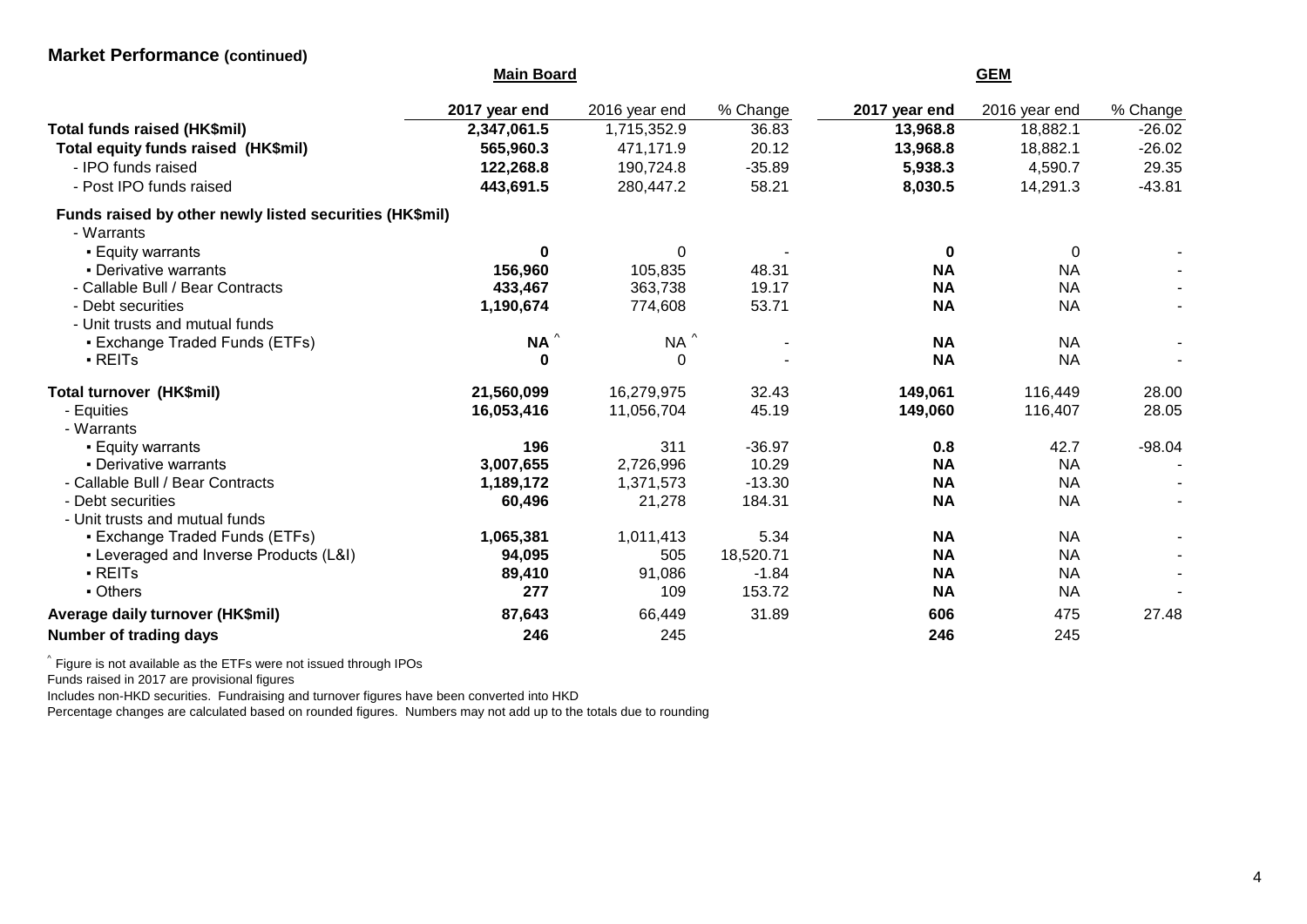### **Market Performance (continued)**

|                                                         | <b>Main Board</b> |               |           |               |               |          |
|---------------------------------------------------------|-------------------|---------------|-----------|---------------|---------------|----------|
|                                                         | 2017 year end     | 2016 year end | % Change  | 2017 year end | 2016 year end | % Change |
| Total funds raised (HK\$mil)                            | 2,347,061.5       | 1,715,352.9   | 36.83     | 13,968.8      | 18,882.1      | $-26.02$ |
| Total equity funds raised (HK\$mil)                     | 565,960.3         | 471,171.9     | 20.12     | 13,968.8      | 18,882.1      | $-26.02$ |
| - IPO funds raised                                      | 122,268.8         | 190,724.8     | $-35.89$  | 5,938.3       | 4,590.7       | 29.35    |
| - Post IPO funds raised                                 | 443,691.5         | 280,447.2     | 58.21     | 8,030.5       | 14,291.3      | $-43.81$ |
| Funds raised by other newly listed securities (HK\$mil) |                   |               |           |               |               |          |
| - Warrants                                              |                   |               |           |               |               |          |
| <b>Equity warrants</b>                                  | 0                 | $\Omega$      |           | $\bf{0}$      | 0             |          |
| • Derivative warrants                                   | 156,960           | 105,835       | 48.31     | <b>NA</b>     | <b>NA</b>     |          |
| - Callable Bull / Bear Contracts                        | 433,467           | 363,738       | 19.17     | <b>NA</b>     | <b>NA</b>     |          |
| - Debt securities                                       | 1,190,674         | 774,608       | 53.71     | <b>NA</b>     | <b>NA</b>     |          |
| - Unit trusts and mutual funds                          |                   |               |           |               |               |          |
| • Exchange Traded Funds (ETFs)                          | $NA^{\wedge}$     | $NA^{\wedge}$ |           | <b>NA</b>     | <b>NA</b>     |          |
| · REITs                                                 | $\mathbf 0$       | 0             |           | <b>NA</b>     | <b>NA</b>     |          |
| Total turnover (HK\$mil)                                | 21,560,099        | 16,279,975    | 32.43     | 149,061       | 116,449       | 28.00    |
| - Equities                                              | 16,053,416        | 11,056,704    | 45.19     | 149,060       | 116,407       | 28.05    |
| - Warrants                                              |                   |               |           |               |               |          |
| <b>Equity warrants</b>                                  | 196               | 311           | $-36.97$  | 0.8           | 42.7          | $-98.04$ |
| • Derivative warrants                                   | 3,007,655         | 2,726,996     | 10.29     | <b>NA</b>     | <b>NA</b>     |          |
| - Callable Bull / Bear Contracts                        | 1,189,172         | 1,371,573     | $-13.30$  | <b>NA</b>     | <b>NA</b>     |          |
| - Debt securities                                       | 60,496            | 21,278        | 184.31    | <b>NA</b>     | <b>NA</b>     |          |
| - Unit trusts and mutual funds                          |                   |               |           |               |               |          |
| • Exchange Traded Funds (ETFs)                          | 1,065,381         | 1,011,413     | 5.34      | <b>NA</b>     | <b>NA</b>     |          |
| • Leveraged and Inverse Products (L&I)                  | 94,095            | 505           | 18,520.71 | <b>NA</b>     | <b>NA</b>     |          |
| $\blacksquare$ REITs                                    | 89,410            | 91,086        | $-1.84$   | <b>NA</b>     | <b>NA</b>     |          |
| - Others                                                | 277               | 109           | 153.72    | <b>NA</b>     | <b>NA</b>     |          |
| Average daily turnover (HK\$mil)                        | 87,643            | 66,449        | 31.89     | 606           | 475           | 27.48    |
| Number of trading days                                  | 246               | 245           |           | 246           | 245           |          |

 $\hat{~}$  Figure is not available as the ETFs were not issued through IPOs

Funds raised in 2017 are provisional figures

Includes non-HKD securities. Fundraising and turnover figures have been converted into HKD

Percentage changes are calculated based on rounded figures. Numbers may not add up to the totals due to rounding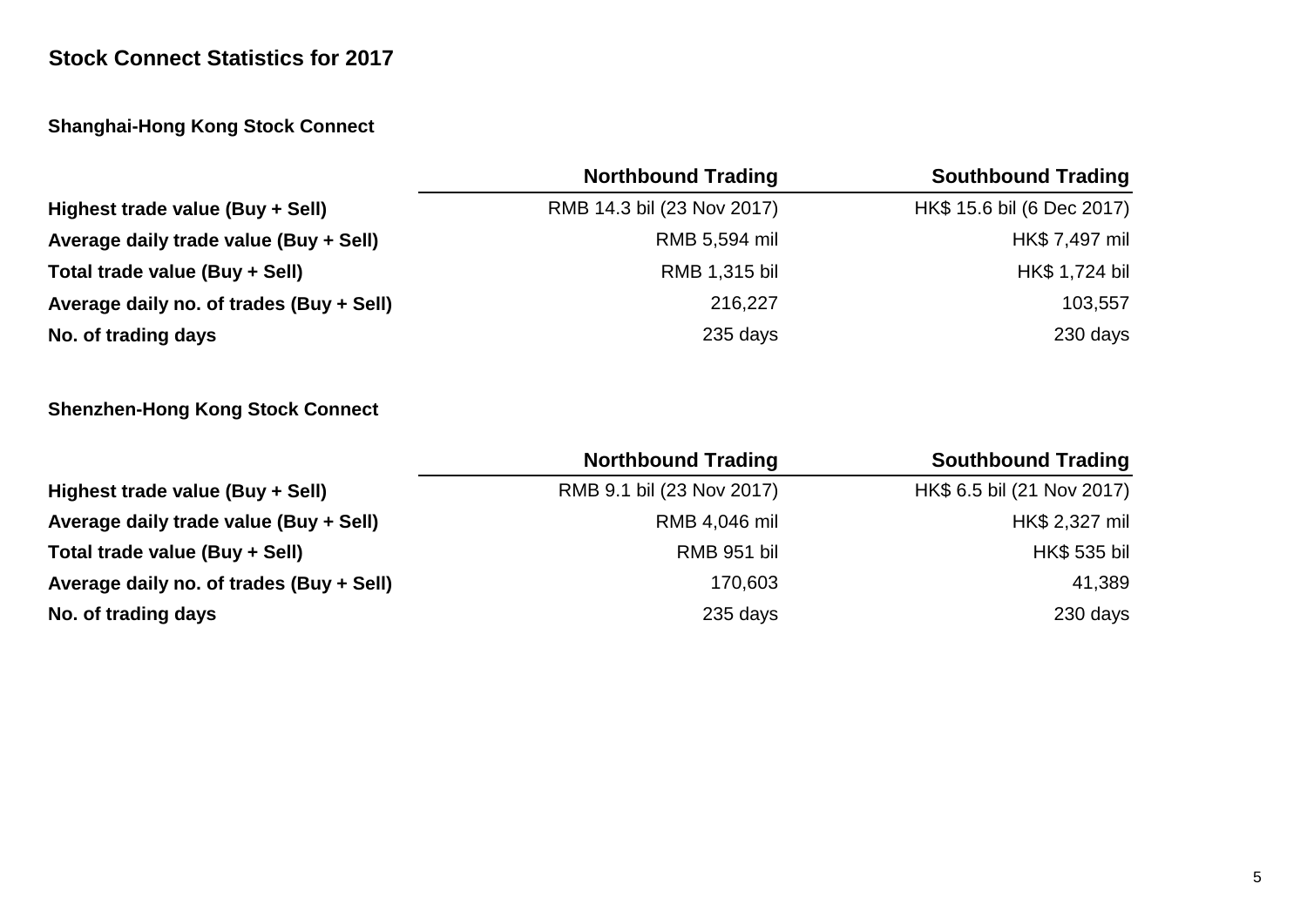# **Stock Connect Statistics for 2017**

# **Shanghai-Hong Kong Stock Connect**

|                                          | <b>Northbound Trading</b>  | <b>Southbound Trading</b>  |
|------------------------------------------|----------------------------|----------------------------|
| Highest trade value (Buy + Sell)         | RMB 14.3 bil (23 Nov 2017) | HK\$ 15.6 bil (6 Dec 2017) |
| Average daily trade value (Buy + Sell)   | RMB 5,594 mil              | HK\$ 7,497 mil             |
| Total trade value (Buy + Sell)           | RMB 1,315 bil              | HK\$ 1,724 bil             |
| Average daily no. of trades (Buy + Sell) | 216,227                    | 103,557                    |
| No. of trading days                      | 235 days                   | 230 days                   |

# **Shenzhen-Hong Kong Stock Connect**

|                                          | <b>Northbound Trading</b> | <b>Southbound Trading</b>  |
|------------------------------------------|---------------------------|----------------------------|
| Highest trade value (Buy + Sell)         | RMB 9.1 bil (23 Nov 2017) | HK\$ 6.5 bil (21 Nov 2017) |
| Average daily trade value (Buy + Sell)   | RMB 4,046 mil             | HK\$ 2,327 mil             |
| Total trade value (Buy + Sell)           | RMB 951 bil               | <b>HK\$ 535 bil</b>        |
| Average daily no. of trades (Buy + Sell) | 170,603                   | 41,389                     |
| No. of trading days                      | 235 days                  | 230 days                   |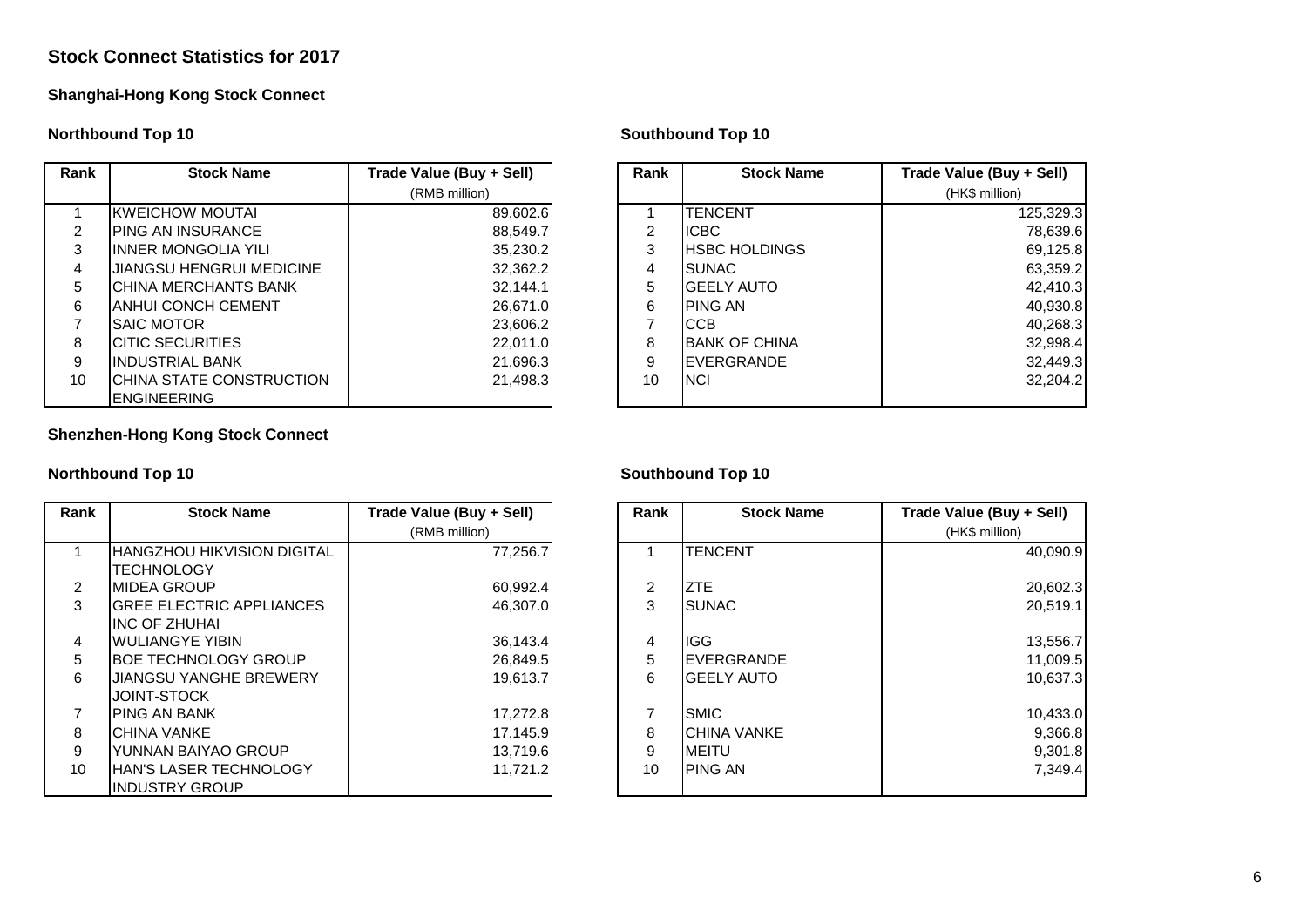### **Stock Connect Statistics for 2017**

### **Shanghai-Hong Kong Stock Connect**

### **Northbound Top 10 Southbound Top 10**

| Rank | <b>Stock Name</b>               | Trade Value (Buy + Sell) | Rank | <b>Stock Name</b>     | Trade Value (Buy + Sell) |
|------|---------------------------------|--------------------------|------|-----------------------|--------------------------|
|      |                                 | (RMB million)            |      |                       | (HK\$ million)           |
|      | KWEICHOW MOUTAI                 | 89,602.6                 |      | <b>TENCENT</b>        | 125,329.3                |
| 2    | <b>PING AN INSURANCE</b>        | 88,549.7                 | 2    | <b>IICBC</b>          | 78,639.6                 |
| 3    | IINNER MONGOLIA YILI            | 35,230.2                 | 3    | <b>HSBC HOLDINGS</b>  | 69,125.8                 |
| 4    | <b>JIANGSU HENGRUI MEDICINE</b> | 32,362.2                 | 4    | ISUNAC.               | 63,359.2                 |
| 5    | ICHINA MERCHANTS BANK           | 32,144.1                 | 5    | <b>GEELY AUTO</b>     | 42,410.3                 |
| 6    | IANHUI CONCH CEMENT             | 26,671.0                 | 6    | <b>PING AN</b>        | 40,930.8                 |
|      | <b>SAIC MOTOR</b>               | 23,606.2                 |      | <b>CCB</b>            | 40,268.3                 |
| 8    | ICITIC SECURITIES               | 22,011.0                 | 8    | <b>IBANK OF CHINA</b> | 32,998.4                 |
| 9    | IINDUSTRIAL BANK                | 21,696.3                 | 9    | <b>IEVERGRANDE</b>    | 32,449.3                 |
| 10   | CHINA STATE CONSTRUCTION        | 21,498.3                 | 10   | <b>INCI</b>           | 32,204.2                 |
|      | <b>IENGINEERING</b>             |                          |      |                       |                          |

### **Shenzhen-Hong Kong Stock Connect**

| Rank           | <b>Stock Name</b>                  | Trade Value (Buy + Sell) | Rank | <b>Stock Name</b>   | Trade Value (Buy + Sell) |
|----------------|------------------------------------|--------------------------|------|---------------------|--------------------------|
|                |                                    | (RMB million)            |      |                     | (HK\$ million)           |
|                | <b>IHANGZHOU HIKVISION DIGITAL</b> | 77,256.7                 |      | <b>TENCENT</b>      | 40,090.9                 |
|                | <b>ITECHNOLOGY</b>                 |                          |      |                     |                          |
| $\overline{2}$ | <b>IMIDEA GROUP</b>                | 60,992.4                 | 2    | <b>ZTE</b>          | 20,602.3                 |
| 3              | <b>GREE ELECTRIC APPLIANCES</b>    | 46,307.0                 | 3    | <b>SUNAC</b>        | 20,519.1                 |
|                | <b>IINC OF ZHUHAI</b>              |                          |      |                     |                          |
| 4              | <b>IWULIANGYE YIBIN</b>            | 36,143.4                 | 4    | ligg.               | 13,556.7                 |
| 5              | <b>IBOE TECHNOLOGY GROUP</b>       | 26,849.5                 | 5    | <b>IEVERGRANDE</b>  | 11,009.5                 |
| 6              | JIANGSU YANGHE BREWERY             | 19.613.7                 | 6    | <b>IGEELY AUTO</b>  | 10.637.3                 |
|                | IJOINT-STOCK                       |                          |      |                     |                          |
| 7              | <b>IPING AN BANK</b>               | 17,272.8                 |      | <b>SMIC</b>         | 10,433.0                 |
| 8              | <b>ICHINA VANKE</b>                | 17,145.9                 | 8    | <b>ICHINA VANKE</b> | 9,366.8                  |
| 9              | YUNNAN BAIYAO GROUP                | 13.719.6                 | 9    | <b>MEITU</b>        | 9,301.8                  |
| 10             | <b>IHAN'S LASER TECHNOLOGY</b>     | 11,721.2                 | 10   | <b>IPING AN</b>     | 7,349.4                  |
|                | <b>IINDUSTRY GROUP</b>             |                          |      |                     |                          |

| Value (Buy + Sell) | Rank           | <b>Stock Name</b>    | Trade Value (Buy + Sell) |
|--------------------|----------------|----------------------|--------------------------|
| (RMB million)      |                |                      | (HK\$ million)           |
| 89,602.6           |                | TENCENT              | 125,329.3                |
| 88,549.7           | $\overline{2}$ | <b>ICBC</b>          | 78,639.6                 |
| 35,230.2           | 3              | <b>HSBC HOLDINGS</b> | 69,125.8                 |
| 32,362.2           | 4              | <b>SUNAC</b>         | 63,359.2                 |
| 32,144.1           | 5              | <b>GEELY AUTO</b>    | 42,410.3                 |
| 26,671.0           | 6              | <b>PING AN</b>       | 40,930.8                 |
| 23,606.2           | 7              | CCB                  | 40,268.3                 |
| 22,011.0           | 8              | <b>BANK OF CHINA</b> | 32,998.4                 |
| 21,696.3           | 9              | <b>EVERGRANDE</b>    | 32,449.3                 |
| 21,498.3           | 10             | <b>NCI</b>           | 32,204.2                 |
|                    |                |                      |                          |

### **Northbound Top 10 Southbound Top 10**

| Value (Buy + Sell) | Rank           | <b>Stock Name</b>  | Trade Value (Buy + Sell) |
|--------------------|----------------|--------------------|--------------------------|
| (RMB million)      |                |                    | (HK\$ million)           |
| 77,256.7           | 1              | <b>TENCENT</b>     | 40,090.9                 |
| 60,992.4           | $\overline{c}$ | <b>ZTE</b>         | 20,602.3                 |
| 46,307.0           | 3              | <b>SUNAC</b>       | 20,519.1                 |
| 36,143.4           | 4              | <b>IGG</b>         | 13,556.7                 |
| 26,849.5           | 5              | <b>EVERGRANDE</b>  | 11,009.5                 |
| 19,613.7           | $\,6$          | <b>GEELY AUTO</b>  | 10,637.3                 |
| 17,272.8           | 7              | <b>SMIC</b>        | 10,433.0                 |
| 17,145.9           | 8              | <b>CHINA VANKE</b> | 9,366.8                  |
| 13,719.6           | 9              | <b>MEITU</b>       | 9,301.8                  |
| 11,721.2           | 10             | <b>PING AN</b>     | 7,349.4                  |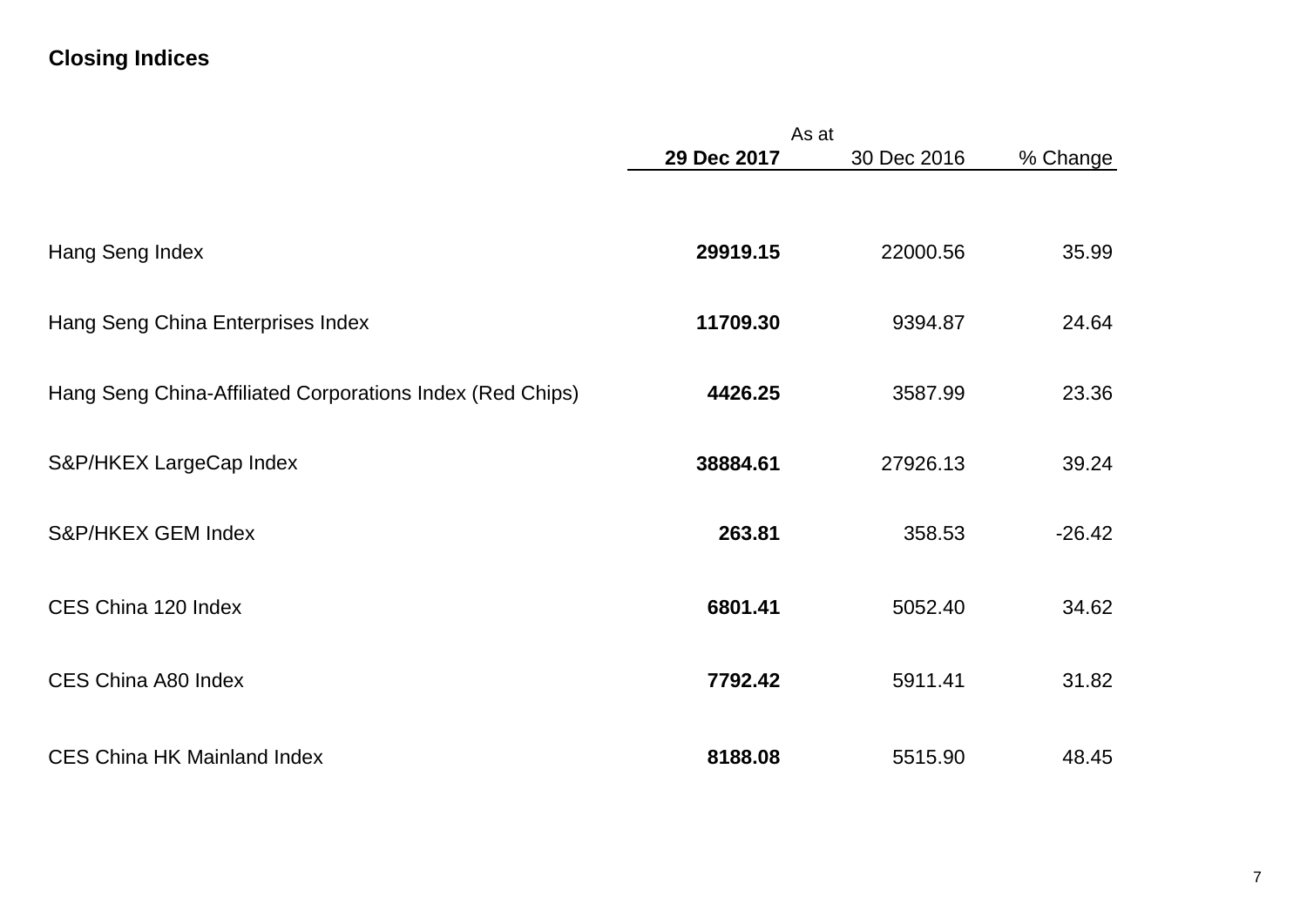# **Closing Indices**

|                                                           | As at       |             |          |
|-----------------------------------------------------------|-------------|-------------|----------|
|                                                           | 29 Dec 2017 | 30 Dec 2016 | % Change |
|                                                           |             |             |          |
| Hang Seng Index                                           | 29919.15    | 22000.56    | 35.99    |
| Hang Seng China Enterprises Index                         | 11709.30    | 9394.87     | 24.64    |
| Hang Seng China-Affiliated Corporations Index (Red Chips) | 4426.25     | 3587.99     | 23.36    |
| S&P/HKEX LargeCap Index                                   | 38884.61    | 27926.13    | 39.24    |
| S&P/HKEX GEM Index                                        | 263.81      | 358.53      | $-26.42$ |
| CES China 120 Index                                       | 6801.41     | 5052.40     | 34.62    |
| CES China A80 Index                                       | 7792.42     | 5911.41     | 31.82    |
| <b>CES China HK Mainland Index</b>                        | 8188.08     | 5515.90     | 48.45    |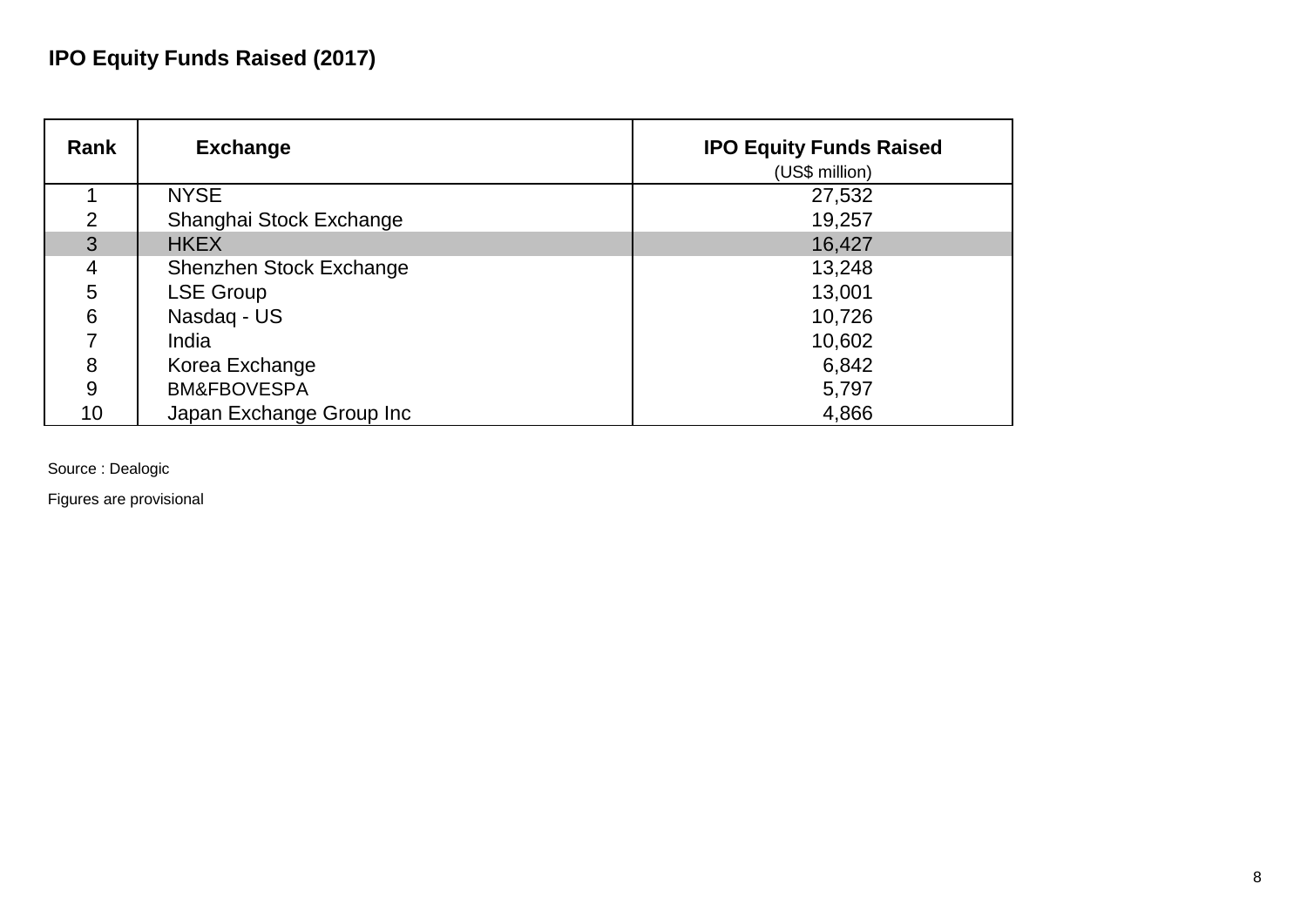# **IPO Equity Funds Raised (2017)**

| Rank           | <b>Exchange</b>          | <b>IPO Equity Funds Raised</b><br>(US\$ million) |
|----------------|--------------------------|--------------------------------------------------|
|                | <b>NYSE</b>              | 27,532                                           |
| 2              | Shanghai Stock Exchange  | 19,257                                           |
| $\overline{3}$ | <b>HKEX</b>              | 16,427                                           |
| 4              | Shenzhen Stock Exchange  | 13,248                                           |
| 5              | <b>LSE Group</b>         | 13,001                                           |
| 6              | Nasdag - US              | 10,726                                           |
|                | India                    | 10,602                                           |
| 8              | Korea Exchange           | 6,842                                            |
| 9              | <b>BM&amp;FBOVESPA</b>   | 5,797                                            |
| 10             | Japan Exchange Group Inc | 4,866                                            |

Source : Dealogic

Figures are provisional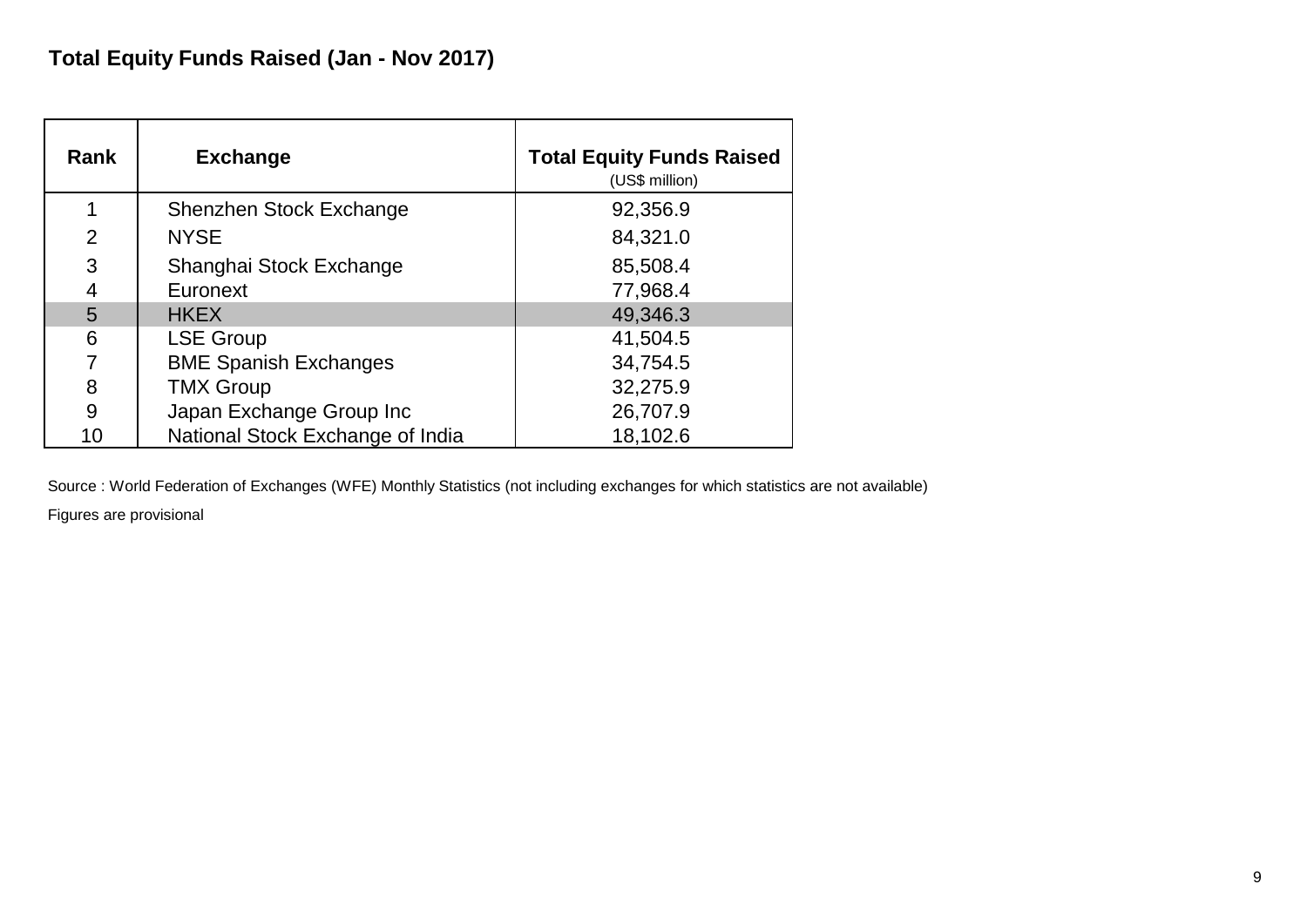| Rank           | <b>Exchange</b>                  | <b>Total Equity Funds Raised</b><br>(US\$ million) |
|----------------|----------------------------------|----------------------------------------------------|
| 1              | Shenzhen Stock Exchange          | 92,356.9                                           |
| $\overline{2}$ | <b>NYSE</b>                      | 84,321.0                                           |
| 3              | Shanghai Stock Exchange          | 85,508.4                                           |
| 4              | Euronext                         | 77,968.4                                           |
| 5              | <b>HKEX</b>                      | 49,346.3                                           |
| 6              | <b>LSE Group</b>                 | 41,504.5                                           |
| 7              | <b>BME Spanish Exchanges</b>     | 34,754.5                                           |
| 8              | <b>TMX Group</b>                 | 32,275.9                                           |
| 9              | Japan Exchange Group Inc         | 26,707.9                                           |
| 10             | National Stock Exchange of India | 18,102.6                                           |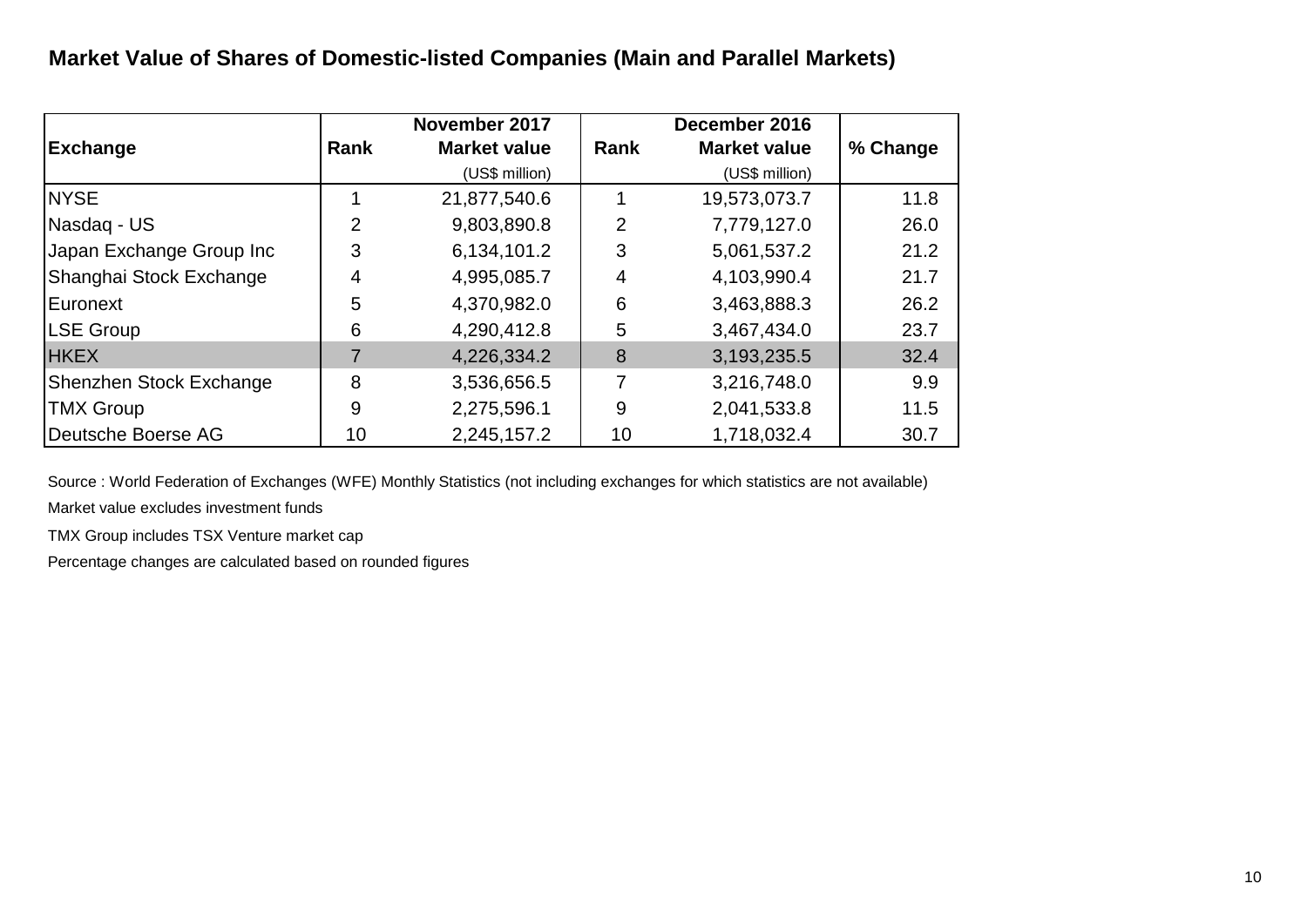# **Market Value of Shares of Domestic-listed Companies (Main and Parallel Markets)**

| <b>Exchange</b>          | <b>Rank</b> | November 2017<br><b>Market value</b> | Rank | December 2016<br><b>Market value</b> | % Change |
|--------------------------|-------------|--------------------------------------|------|--------------------------------------|----------|
|                          |             | (US\$ million)                       |      | (US\$ million)                       |          |
| <b>NYSE</b>              |             | 21,877,540.6                         |      | 19,573,073.7                         | 11.8     |
| Nasdag - US              | 2           | 9,803,890.8                          | 2    | 7,779,127.0                          | 26.0     |
| Japan Exchange Group Inc | 3           | 6,134,101.2                          | 3    | 5,061,537.2                          | 21.2     |
| Shanghai Stock Exchange  | 4           | 4,995,085.7                          | 4    | 4,103,990.4                          | 21.7     |
| Euronext                 | 5           | 4,370,982.0                          | 6    | 3,463,888.3                          | 26.2     |
| LSE Group                | 6           | 4,290,412.8                          | 5    | 3,467,434.0                          | 23.7     |
| <b>HKEX</b>              |             | 4,226,334.2                          | 8    | 3,193,235.5                          | 32.4     |
| Shenzhen Stock Exchange  | 8           | 3,536,656.5                          | 7    | 3,216,748.0                          | 9.9      |
| <b>TMX Group</b>         | 9           | 2,275,596.1                          | 9    | 2,041,533.8                          | 11.5     |
| Deutsche Boerse AG       | 10          | 2,245,157.2                          | 10   | 1,718,032.4                          | 30.7     |

Source : World Federation of Exchanges (WFE) Monthly Statistics (not including exchanges for which statistics are not available)

Market value excludes investment funds

TMX Group includes TSX Venture market cap

Percentage changes are calculated based on rounded figures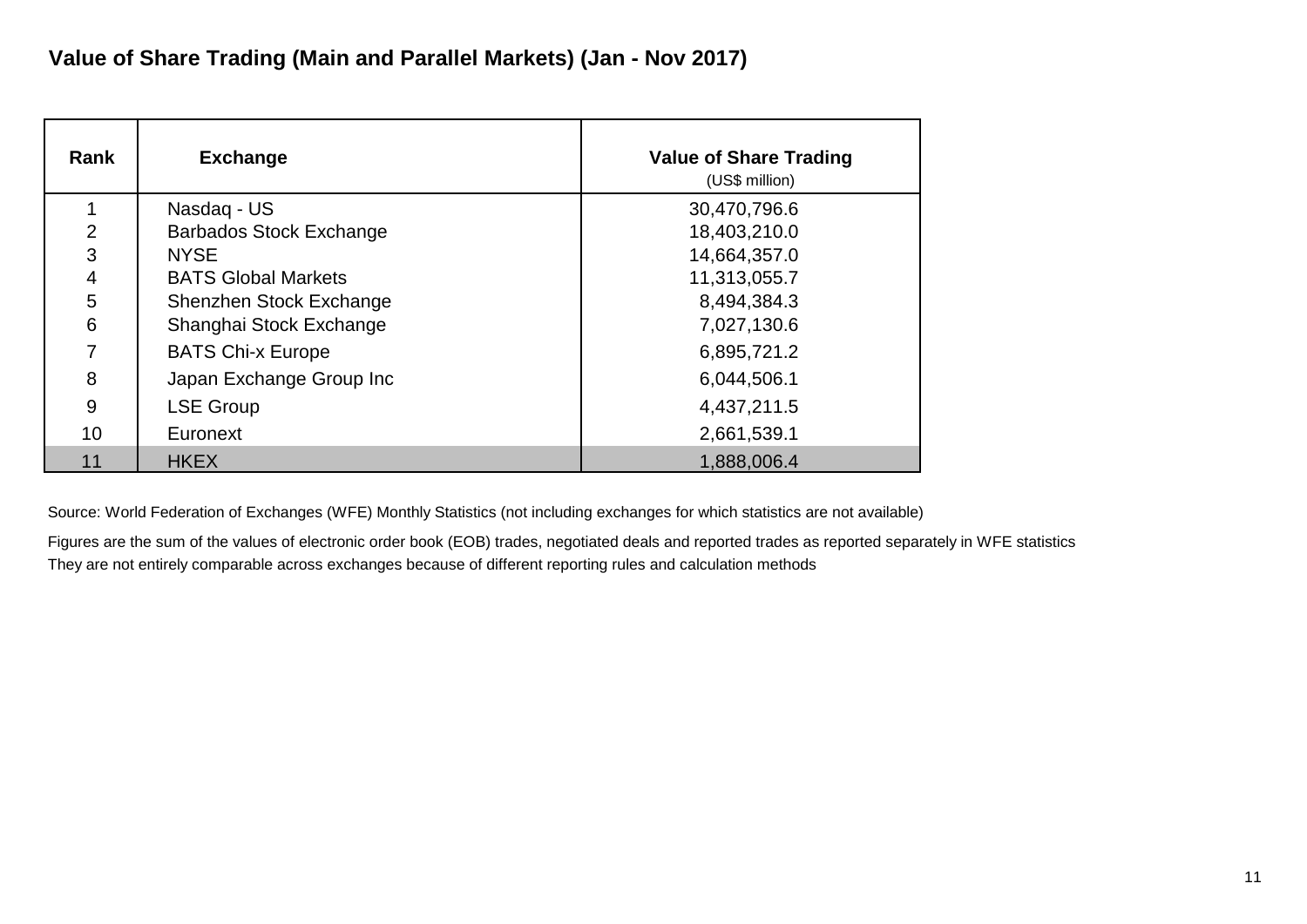| Rank            | <b>Exchange</b>                | <b>Value of Share Trading</b><br>(US\$ million) |
|-----------------|--------------------------------|-------------------------------------------------|
|                 | Nasdag - US                    | 30,470,796.6                                    |
| $\overline{2}$  | <b>Barbados Stock Exchange</b> | 18,403,210.0                                    |
| 3               | <b>NYSE</b>                    | 14,664,357.0                                    |
| $\overline{4}$  | <b>BATS Global Markets</b>     | 11,313,055.7                                    |
| 5               | Shenzhen Stock Exchange        | 8,494,384.3                                     |
| 6               | Shanghai Stock Exchange        | 7,027,130.6                                     |
| 7               | <b>BATS Chi-x Europe</b>       | 6,895,721.2                                     |
| 8               | Japan Exchange Group Inc       | 6,044,506.1                                     |
| 9               | <b>LSE Group</b>               | 4,437,211.5                                     |
| 10 <sup>°</sup> | Euronext                       | 2,661,539.1                                     |
| 11              | <b>HKEX</b>                    | 1,888,006.4                                     |

Figures are the sum of the values of electronic order book (EOB) trades, negotiated deals and reported trades as reported separately in WFE statistics They are not entirely comparable across exchanges because of different reporting rules and calculation methods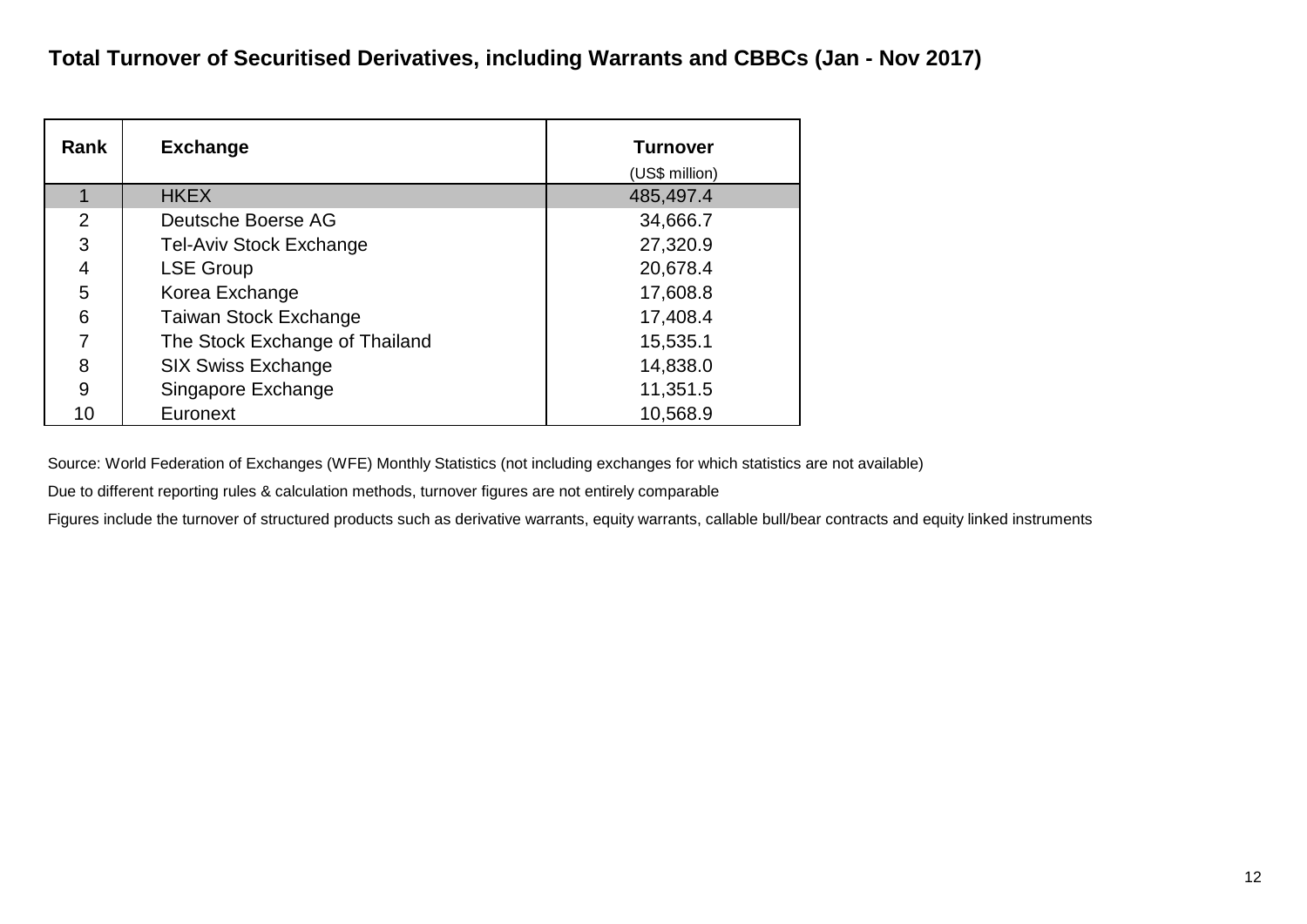| Rank | <b>Exchange</b>                | <b>Turnover</b><br>(US\$ million) |
|------|--------------------------------|-----------------------------------|
|      | <b>HKEX</b>                    | 485,497.4                         |
| 2    | Deutsche Boerse AG             | 34,666.7                          |
| 3    | <b>Tel-Aviv Stock Exchange</b> | 27,320.9                          |
| 4    | <b>LSE Group</b>               | 20,678.4                          |
| 5    | Korea Exchange                 | 17,608.8                          |
| 6    | <b>Taiwan Stock Exchange</b>   | 17,408.4                          |
| 7    | The Stock Exchange of Thailand | 15,535.1                          |
| 8    | <b>SIX Swiss Exchange</b>      | 14,838.0                          |
| 9    | Singapore Exchange             | 11,351.5                          |
| 10   | Euronext                       | 10,568.9                          |

Due to different reporting rules & calculation methods, turnover figures are not entirely comparable

Figures include the turnover of structured products such as derivative warrants, equity warrants, callable bull/bear contracts and equity linked instruments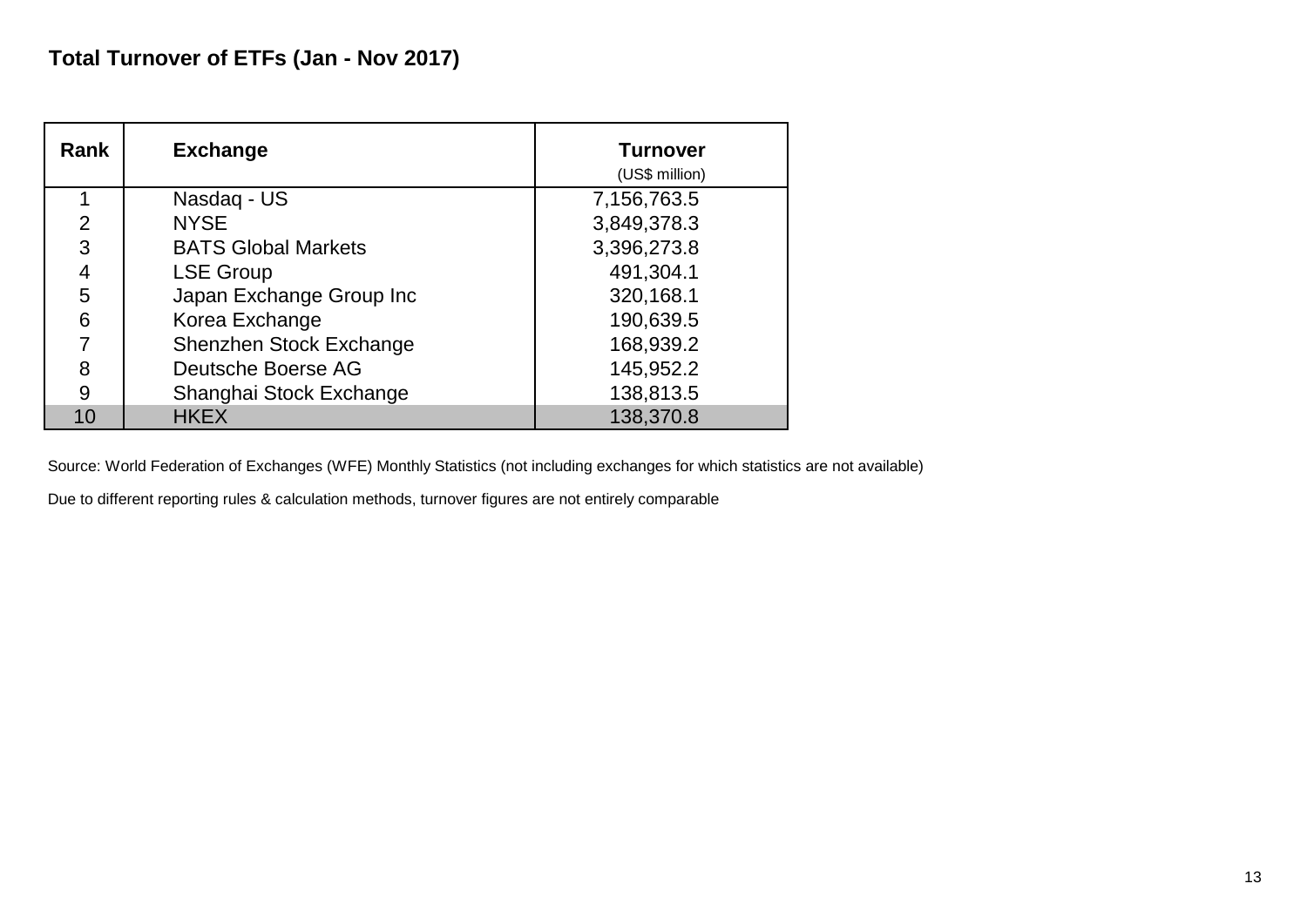| Rank | <b>Exchange</b>            | <b>Turnover</b><br>(US\$ million) |
|------|----------------------------|-----------------------------------|
|      | Nasdaq - US                | 7,156,763.5                       |
| 2    | <b>NYSE</b>                | 3,849,378.3                       |
| 3    | <b>BATS Global Markets</b> | 3,396,273.8                       |
| 4    | <b>LSE Group</b>           | 491,304.1                         |
| 5    | Japan Exchange Group Inc   | 320,168.1                         |
| 6    | Korea Exchange             | 190,639.5                         |
|      | Shenzhen Stock Exchange    | 168,939.2                         |
| 8    | Deutsche Boerse AG         | 145,952.2                         |
| 9    | Shanghai Stock Exchange    | 138,813.5                         |
| 10   | <b>HKEX</b>                | 138,370.8                         |

Due to different reporting rules & calculation methods, turnover figures are not entirely comparable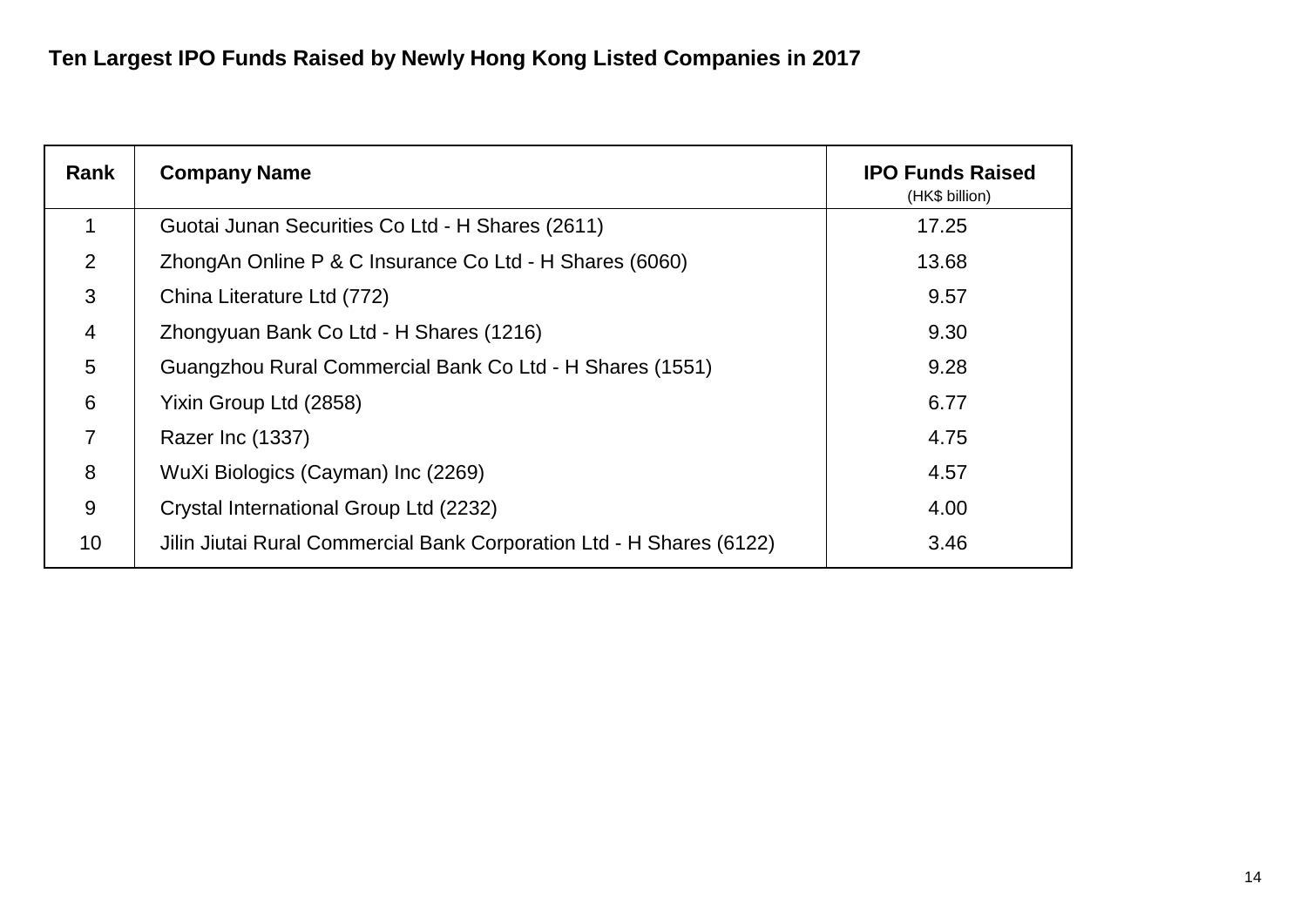| Rank           | <b>Company Name</b>                                                  | <b>IPO Funds Raised</b><br>(HK\$ billion) |
|----------------|----------------------------------------------------------------------|-------------------------------------------|
| $\mathbf 1$    | Guotai Junan Securities Co Ltd - H Shares (2611)                     | 17.25                                     |
| 2              | ZhongAn Online P & C Insurance Co Ltd - H Shares (6060)              | 13.68                                     |
| 3              | China Literature Ltd (772)                                           | 9.57                                      |
| $\overline{4}$ | Zhongyuan Bank Co Ltd - H Shares (1216)                              | 9.30                                      |
| 5              | Guangzhou Rural Commercial Bank Co Ltd - H Shares (1551)             | 9.28                                      |
| 6              | Yixin Group Ltd (2858)                                               | 6.77                                      |
| $\overline{7}$ | Razer Inc (1337)                                                     | 4.75                                      |
| 8              | WuXi Biologics (Cayman) Inc (2269)                                   | 4.57                                      |
| 9              | Crystal International Group Ltd (2232)                               | 4.00                                      |
| 10             | Jilin Jiutai Rural Commercial Bank Corporation Ltd - H Shares (6122) | 3.46                                      |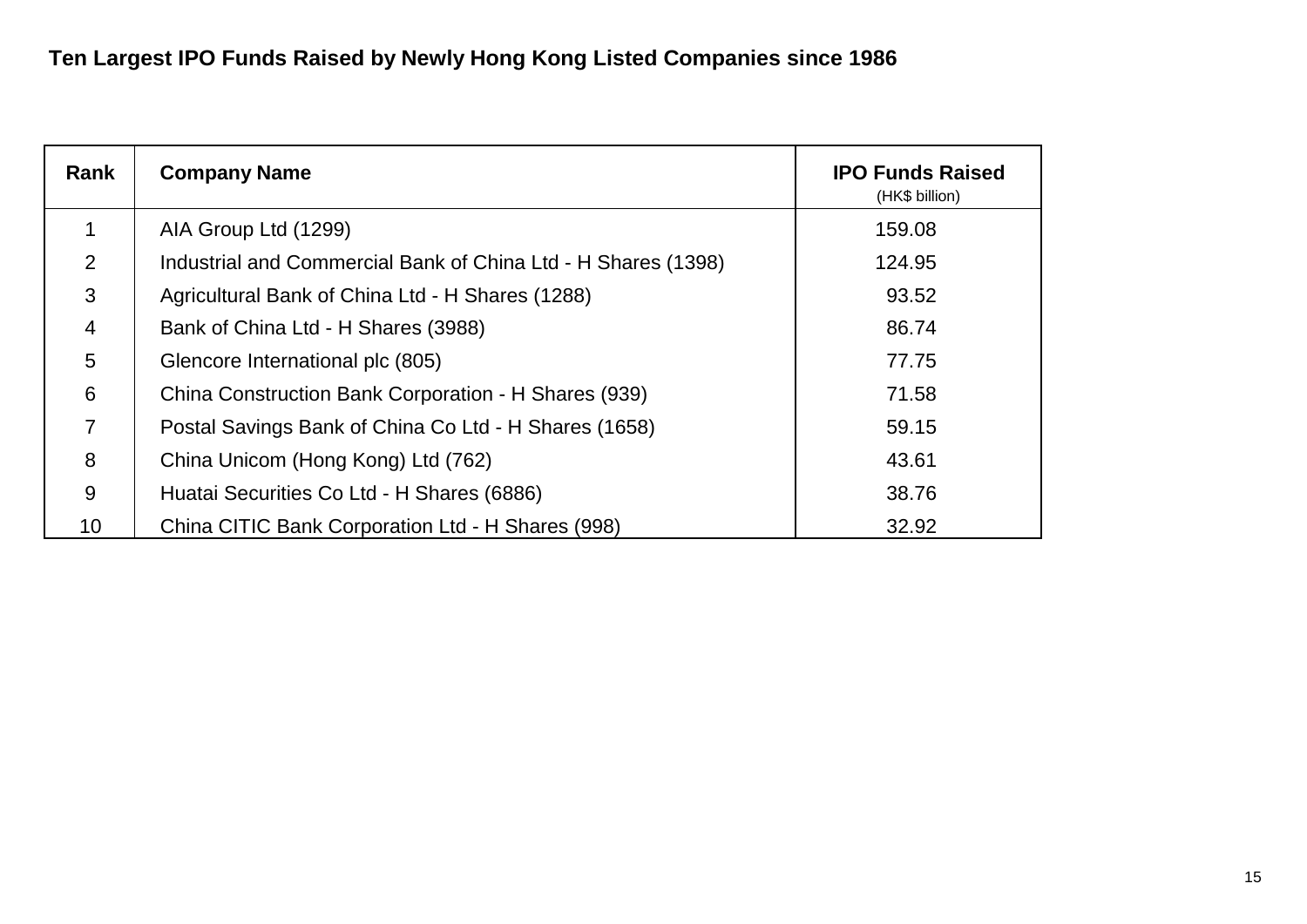| Rank           | <b>Company Name</b>                                           | <b>IPO Funds Raised</b><br>(HK\$ billion) |
|----------------|---------------------------------------------------------------|-------------------------------------------|
|                | AIA Group Ltd (1299)                                          | 159.08                                    |
| 2              | Industrial and Commercial Bank of China Ltd - H Shares (1398) | 124.95                                    |
| 3              | Agricultural Bank of China Ltd - H Shares (1288)              | 93.52                                     |
| 4              | Bank of China Ltd - H Shares (3988)                           | 86.74                                     |
| 5              | Glencore International plc (805)                              | 77.75                                     |
| 6              | China Construction Bank Corporation - H Shares (939)          | 71.58                                     |
| $\overline{7}$ | Postal Savings Bank of China Co Ltd - H Shares (1658)         | 59.15                                     |
| 8              | China Unicom (Hong Kong) Ltd (762)                            | 43.61                                     |
| 9              | Huatai Securities Co Ltd - H Shares (6886)                    | 38.76                                     |
| 10             | China CITIC Bank Corporation Ltd - H Shares (998)             | 32.92                                     |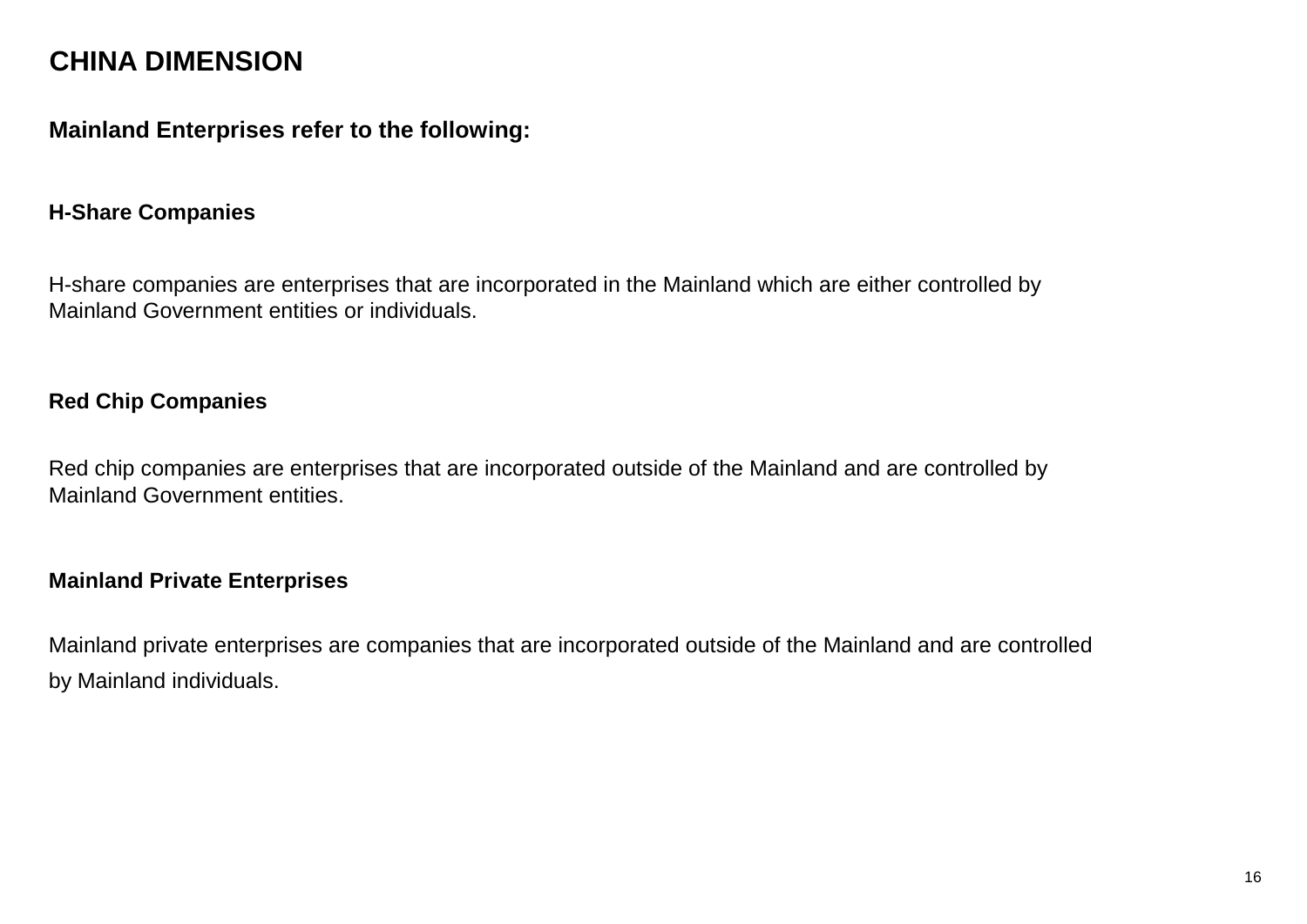# **CHINA DIMENSION**

# **Mainland Enterprises refer to the following:**

## **H-Share Companies**

H-share companies are enterprises that are incorporated in the Mainland which are either controlled by Mainland Government entities or individuals.

# **Red Chip Companies**

Red chip companies are enterprises that are incorporated outside of the Mainland and are controlled by Mainland Government entities.

### **Mainland Private Enterprises**

Mainland private enterprises are companies that are incorporated outside of the Mainland and are controlled by Mainland individuals.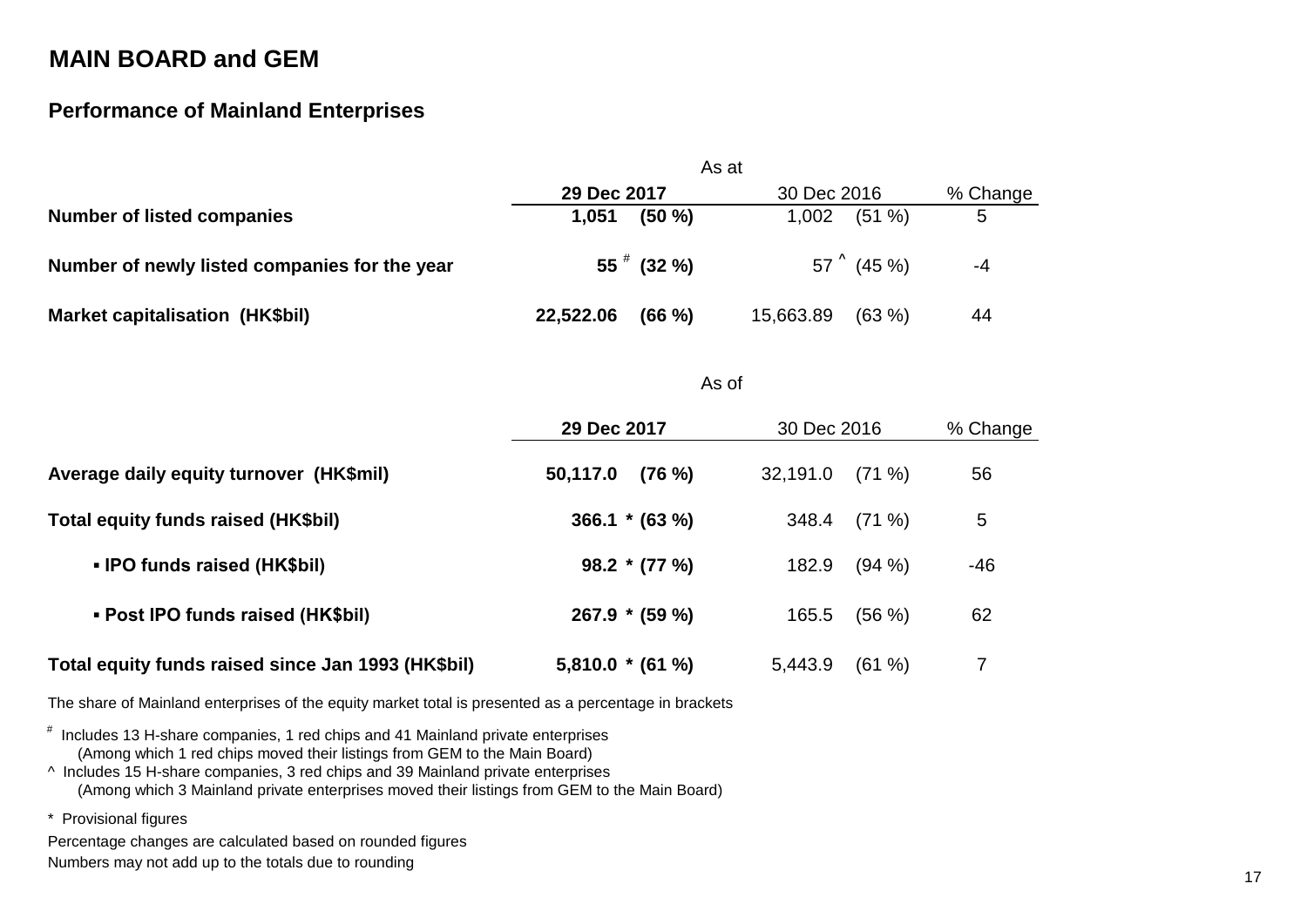# **Performance of Mainland Enterprises**

|                                               | As at               |                     |          |
|-----------------------------------------------|---------------------|---------------------|----------|
|                                               | 29 Dec 2017         | 30 Dec 2016         | % Change |
| <b>Number of listed companies</b>             | (50 %)<br>1,051     | $(51 \%)$<br>1,002  | 5        |
| Number of newly listed companies for the year | $55$ $\#$ (32 %)    | $57^{\circ}$ (45 %) | -4       |
| <b>Market capitalisation (HK\$bil)</b>        | 22,522.06<br>(66 %) | (63%)<br>15,663.89  | 44       |

#### As of

|                                                    | 29 Dec 2017          | 30 Dec 2016          | % Change |
|----------------------------------------------------|----------------------|----------------------|----------|
| Average daily equity turnover (HK\$mil)            | $(76\%)$<br>50,117.0 | $(71\%)$<br>32,191.0 | 56       |
| Total equity funds raised (HK\$bil)                | $366.1 * (63%)$      | $(71\%)$<br>348.4    | 5        |
| • IPO funds raised (HK\$bil)                       | $98.2 * (77%)$       | $(94\% )$<br>182.9   | -46      |
| • Post IPO funds raised (HK\$bil)                  | $267.9 * (59%)$      | $(56\%)$<br>165.5    | 62       |
| Total equity funds raised since Jan 1993 (HK\$bil) | $5,810.0*(61%)$      | (61 %)<br>5,443.9    |          |

The share of Mainland enterprises of the equity market total is presented as a percentage in brackets

# Includes 13 H-share companies, 1 red chips and 41 Mainland private enterprises (Among which 1 red chips moved their listings from GEM to the Main Board)

^ Includes 15 H-share companies, 3 red chips and 39 Mainland private enterprises (Among which 3 Mainland private enterprises moved their listings from GEM to the Main Board)

\* Provisional figures

Percentage changes are calculated based on rounded figures Numbers may not add up to the totals due to rounding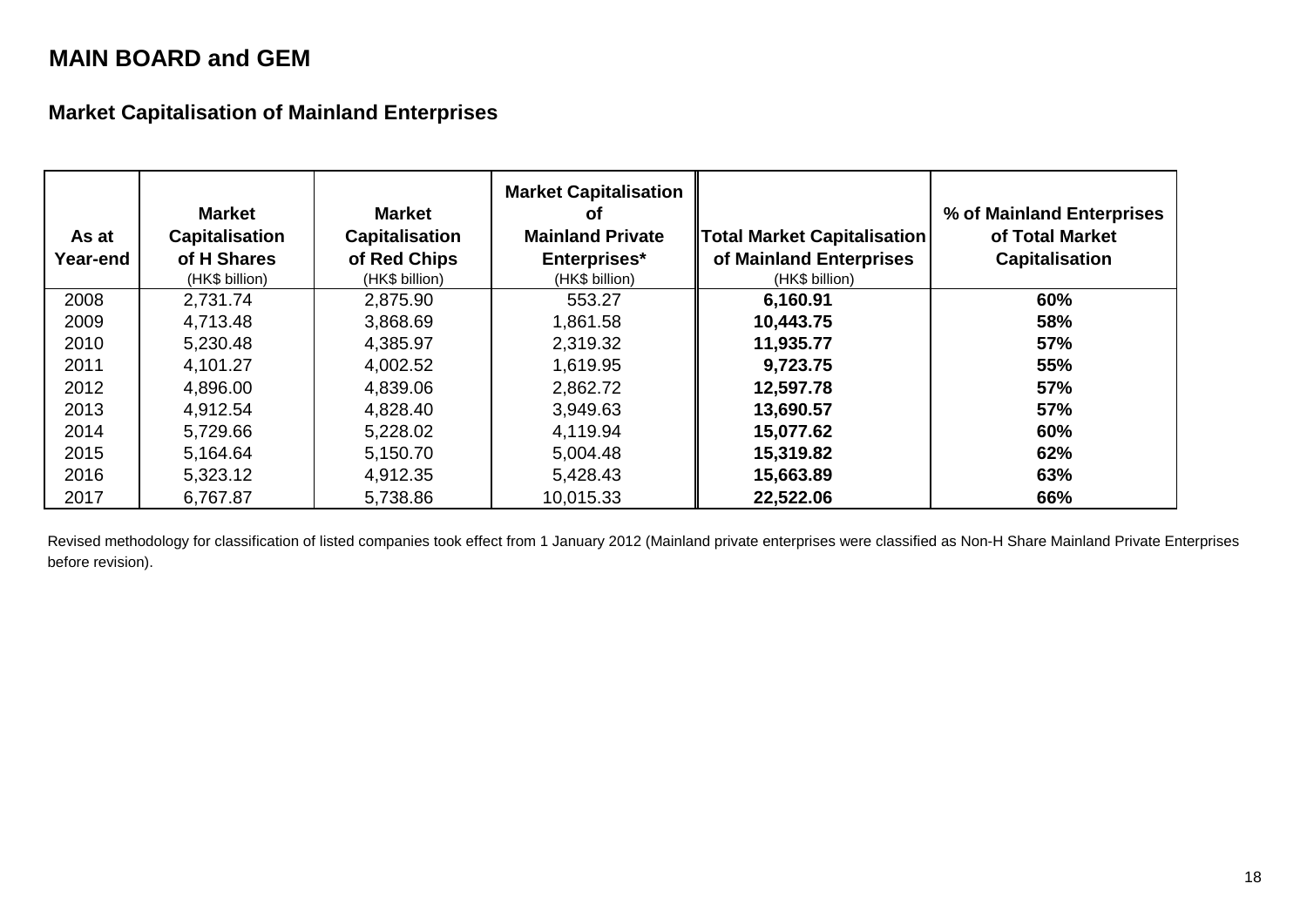**Market Capitalisation of Mainland Enterprises**

| As at<br>Year-end | <b>Market</b><br><b>Capitalisation</b><br>of H Shares<br>(HK\$ billion) | <b>Market</b><br><b>Capitalisation</b><br>of Red Chips<br>(HK\$ billion) | <b>Market Capitalisation</b><br>Οf<br><b>Mainland Private</b><br>Enterprises*<br>(HK\$ billion) | <b>Total Market Capitalisation</b><br>of Mainland Enterprises<br>(HK\$ billion) | % of Mainland Enterprises<br>of Total Market<br><b>Capitalisation</b> |
|-------------------|-------------------------------------------------------------------------|--------------------------------------------------------------------------|-------------------------------------------------------------------------------------------------|---------------------------------------------------------------------------------|-----------------------------------------------------------------------|
| 2008              | 2,731.74                                                                | 2,875.90                                                                 | 553.27                                                                                          | 6,160.91                                                                        | 60%                                                                   |
| 2009              | 4,713.48                                                                | 3,868.69                                                                 | 1,861.58                                                                                        | 10,443.75                                                                       | 58%                                                                   |
| 2010              | 5,230.48                                                                | 4,385.97                                                                 | 2,319.32                                                                                        | 11,935.77                                                                       | 57%                                                                   |
| 2011              | 4,101.27                                                                | 4,002.52                                                                 | 1,619.95                                                                                        | 9,723.75                                                                        | 55%                                                                   |
| 2012              | 4,896.00                                                                | 4,839.06                                                                 | 2,862.72                                                                                        | 12,597.78                                                                       | 57%                                                                   |
| 2013              | 4,912.54                                                                | 4,828.40                                                                 | 3,949.63                                                                                        | 13,690.57                                                                       | 57%                                                                   |
| 2014              | 5,729.66                                                                | 5,228.02                                                                 | 4,119.94                                                                                        | 15,077.62                                                                       | 60%                                                                   |
| 2015              | 5,164.64                                                                | 5,150.70                                                                 | 5,004.48                                                                                        | 15,319.82                                                                       | 62%                                                                   |
| 2016              | 5,323.12                                                                | 4,912.35                                                                 | 5,428.43                                                                                        | 15,663.89                                                                       | 63%                                                                   |
| 2017              | 6,767.87                                                                | 5,738.86                                                                 | 10,015.33                                                                                       | 22,522.06                                                                       | 66%                                                                   |

Revised methodology for classification of listed companies took effect from 1 January 2012 (Mainland private enterprises were classified as Non-H Share Mainland Private Enterprises before revision).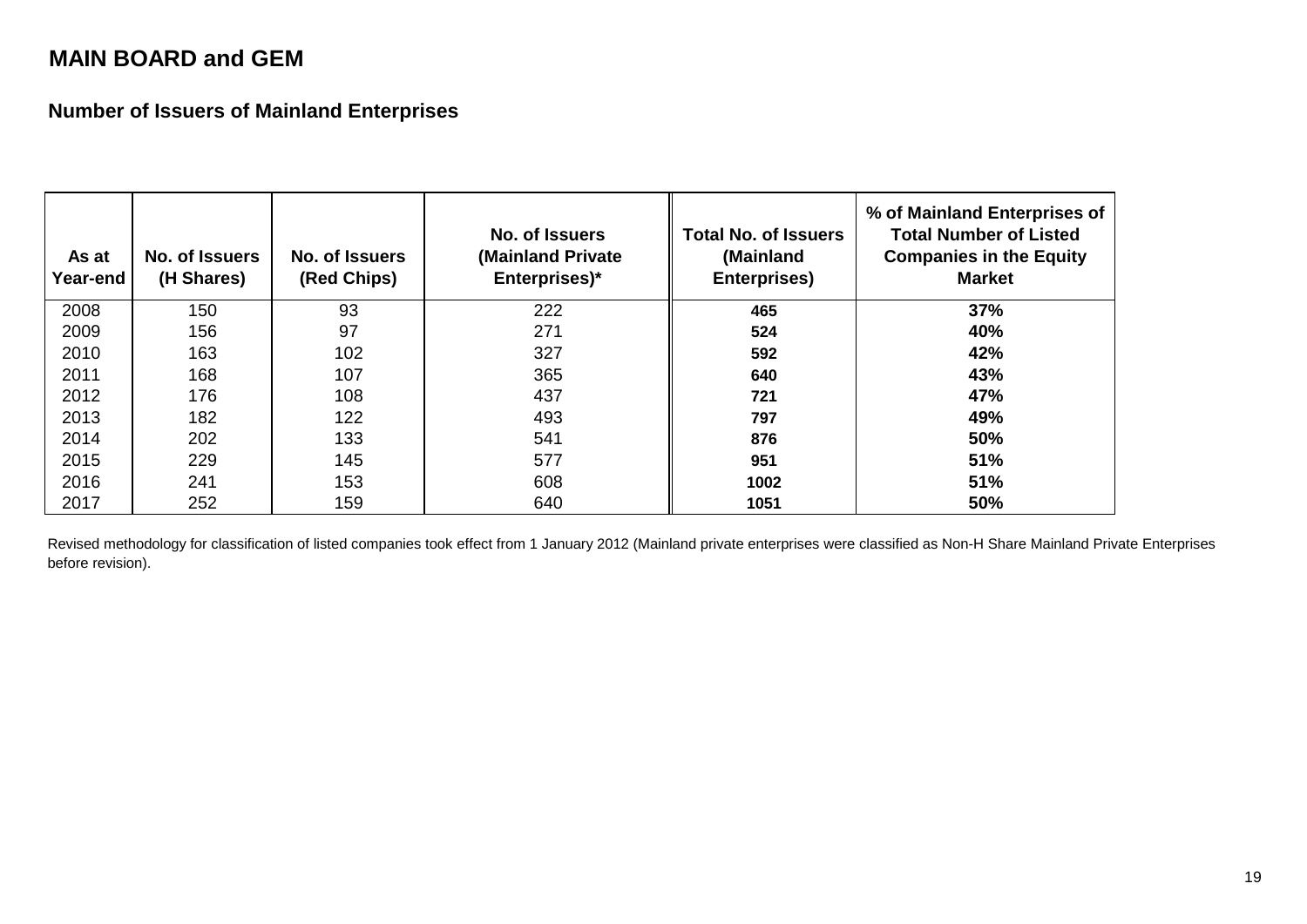**Number of Issuers of Mainland Enterprises**

| As at<br>Year-end | No. of Issuers<br>(H Shares) | No. of Issuers<br>(Red Chips) | No. of Issuers<br>(Mainland Private<br>Enterprises)* | <b>Total No. of Issuers</b><br>(Mainland<br>Enterprises) | % of Mainland Enterprises of<br><b>Total Number of Listed</b><br><b>Companies in the Equity</b><br><b>Market</b> |
|-------------------|------------------------------|-------------------------------|------------------------------------------------------|----------------------------------------------------------|------------------------------------------------------------------------------------------------------------------|
| 2008              | 150                          | 93                            | 222                                                  | 465                                                      | 37%                                                                                                              |
| 2009              | 156                          | 97                            | 271                                                  | 524                                                      | 40%                                                                                                              |
| 2010              | 163                          | 102                           | 327                                                  | 592                                                      | 42%                                                                                                              |
| 2011              | 168                          | 107                           | 365                                                  | 640                                                      | 43%                                                                                                              |
| 2012              | 176                          | 108                           | 437                                                  | 721                                                      | 47%                                                                                                              |
| 2013              | 182                          | 122                           | 493                                                  | 797                                                      | 49%                                                                                                              |
| 2014              | 202                          | 133                           | 541                                                  | 876                                                      | 50%                                                                                                              |
| 2015              | 229                          | 145                           | 577                                                  | 951                                                      | 51%                                                                                                              |
| 2016              | 241                          | 153                           | 608                                                  | 1002                                                     | 51%                                                                                                              |
| 2017              | 252                          | 159                           | 640                                                  | 1051                                                     | 50%                                                                                                              |

Revised methodology for classification of listed companies took effect from 1 January 2012 (Mainland private enterprises were classified as Non-H Share Mainland Private Enterprises before revision).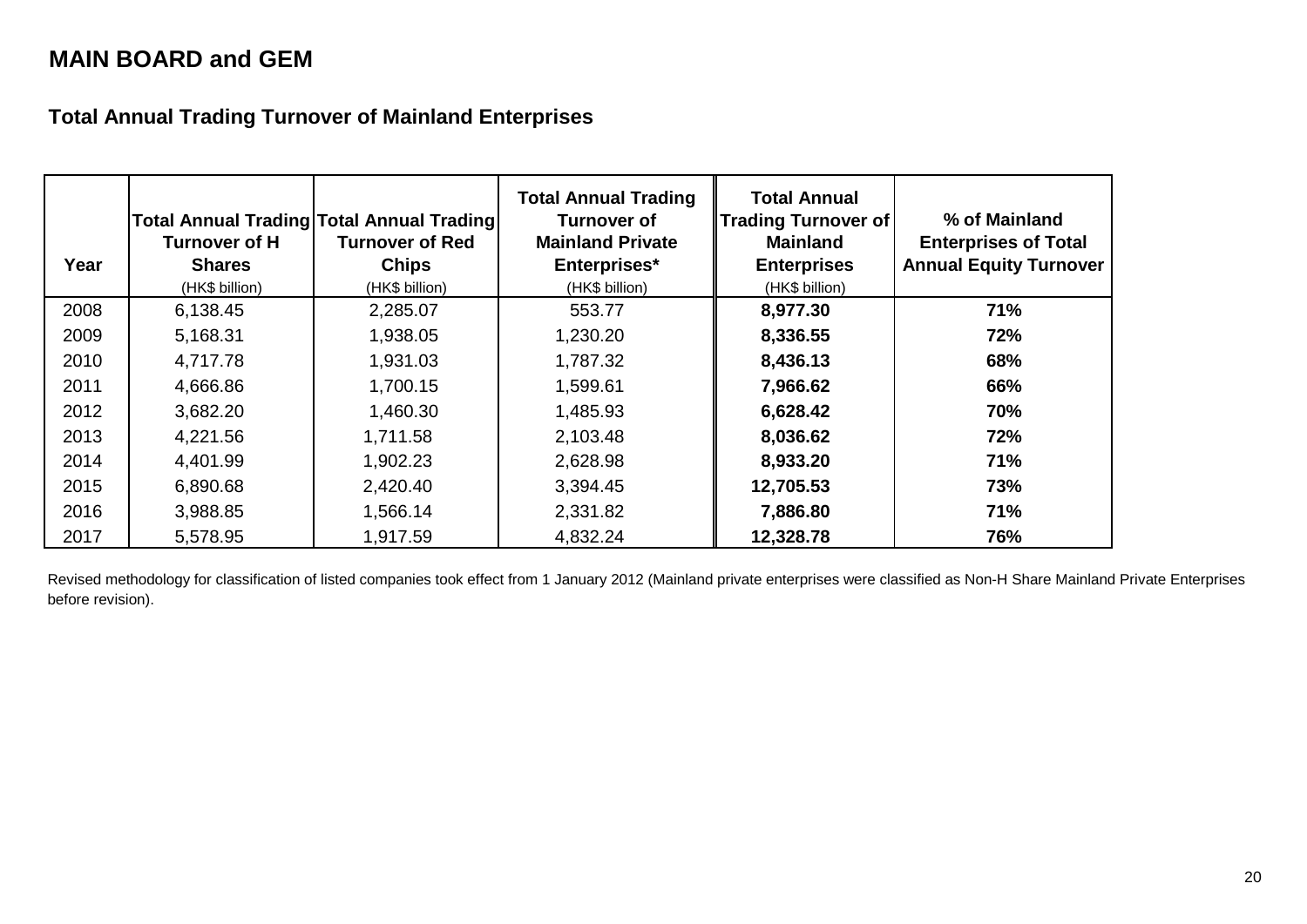**Total Annual Trading Turnover of Mainland Enterprises**

| Year | Turnover of H<br><b>Shares</b><br>(HK\$ billion) | Total Annual Trading Total Annual Trading<br>Turnover of Red<br><b>Chips</b><br>(HK\$ billion) | <b>Total Annual Trading</b><br><b>Turnover of</b><br><b>Mainland Private</b><br>Enterprises*<br>(HK\$ billion) | <b>Total Annual</b><br><b>Trading Turnover of</b><br><b>Mainland</b><br><b>Enterprises</b><br>(HK\$ billion) | % of Mainland<br><b>Enterprises of Total</b><br><b>Annual Equity Turnover</b> |
|------|--------------------------------------------------|------------------------------------------------------------------------------------------------|----------------------------------------------------------------------------------------------------------------|--------------------------------------------------------------------------------------------------------------|-------------------------------------------------------------------------------|
| 2008 | 6,138.45                                         | 2,285.07                                                                                       | 553.77                                                                                                         | 8,977.30                                                                                                     | 71%                                                                           |
| 2009 | 5,168.31                                         | 1,938.05                                                                                       | 1,230.20                                                                                                       | 8,336.55                                                                                                     | 72%                                                                           |
| 2010 | 4,717.78                                         | 1,931.03                                                                                       | 1,787.32                                                                                                       | 8,436.13                                                                                                     | 68%                                                                           |
| 2011 | 4,666.86                                         | 1,700.15                                                                                       | 1,599.61                                                                                                       | 7,966.62                                                                                                     | 66%                                                                           |
| 2012 | 3,682.20                                         | 1,460.30                                                                                       | 1,485.93                                                                                                       | 6,628.42                                                                                                     | 70%                                                                           |
| 2013 | 4,221.56                                         | 1,711.58                                                                                       | 2,103.48                                                                                                       | 8,036.62                                                                                                     | 72%                                                                           |
| 2014 | 4,401.99                                         | 1,902.23                                                                                       | 2,628.98                                                                                                       | 8,933.20                                                                                                     | 71%                                                                           |
| 2015 | 6,890.68                                         | 2,420.40                                                                                       | 3,394.45                                                                                                       | 12,705.53                                                                                                    | 73%                                                                           |
| 2016 | 3,988.85                                         | 1,566.14                                                                                       | 2,331.82                                                                                                       | 7,886.80                                                                                                     | 71%                                                                           |
| 2017 | 5,578.95                                         | 1,917.59                                                                                       | 4,832.24                                                                                                       | 12,328.78                                                                                                    | 76%                                                                           |

Revised methodology for classification of listed companies took effect from 1 January 2012 (Mainland private enterprises were classified as Non-H Share Mainland Private Enterprises before revision).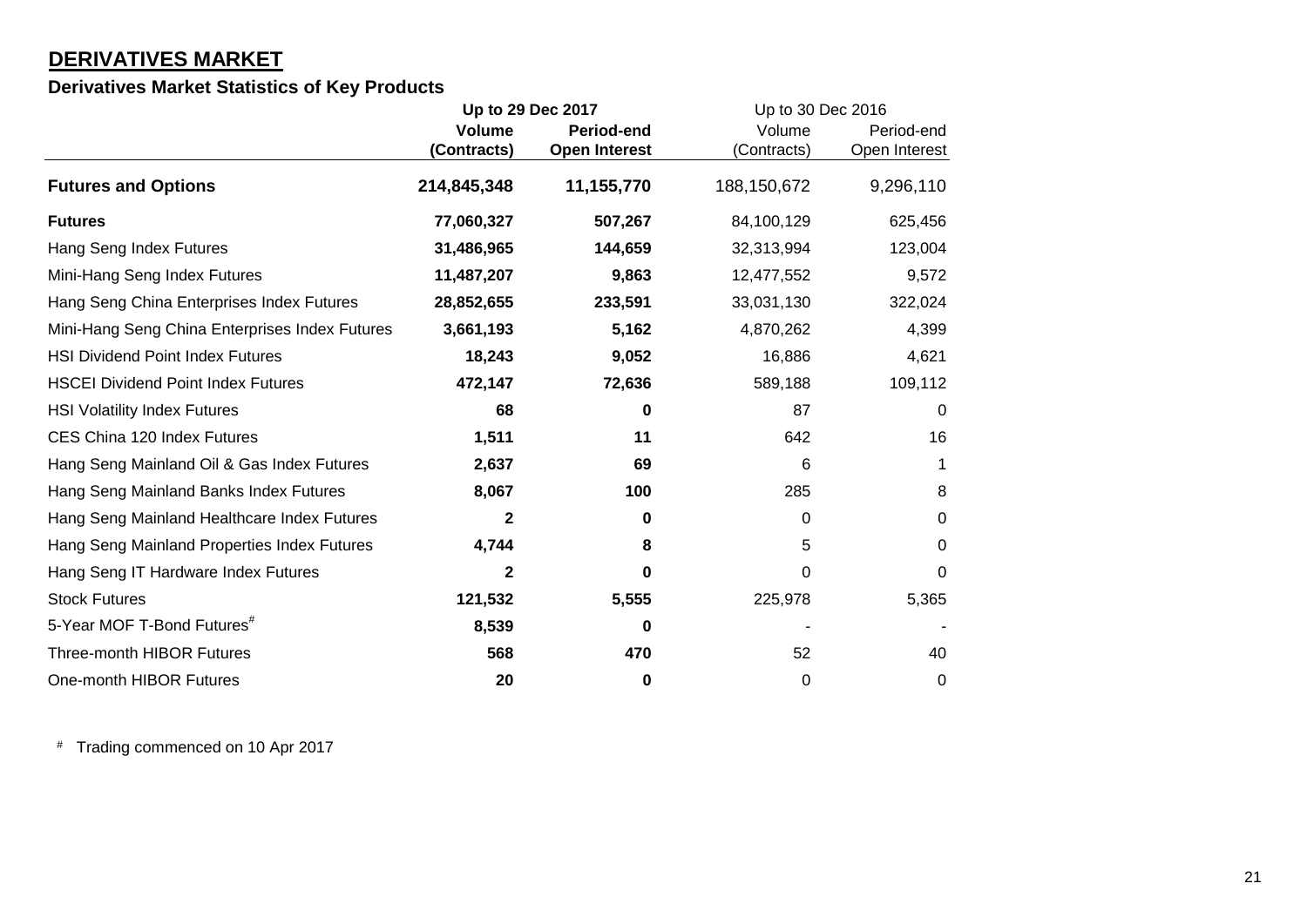# **DERIVATIVES MARKET**

# **Derivatives Market Statistics of Key Products**

|                                                | Up to 29 Dec 2017 |                      | Up to 30 Dec 2016 |               |
|------------------------------------------------|-------------------|----------------------|-------------------|---------------|
|                                                | <b>Volume</b>     | <b>Period-end</b>    | Volume            | Period-end    |
|                                                | (Contracts)       | <b>Open Interest</b> | (Contracts)       | Open Interest |
| <b>Futures and Options</b>                     | 214,845,348       | 11,155,770           | 188,150,672       | 9,296,110     |
| <b>Futures</b>                                 | 77,060,327        | 507,267              | 84,100,129        | 625,456       |
| Hang Seng Index Futures                        | 31,486,965        | 144,659              | 32,313,994        | 123,004       |
| Mini-Hang Seng Index Futures                   | 11,487,207        | 9,863                | 12,477,552        | 9,572         |
| Hang Seng China Enterprises Index Futures      | 28,852,655        | 233,591              | 33,031,130        | 322,024       |
| Mini-Hang Seng China Enterprises Index Futures | 3,661,193         | 5,162                | 4,870,262         | 4,399         |
| <b>HSI Dividend Point Index Futures</b>        | 18,243            | 9,052                | 16,886            | 4,621         |
| <b>HSCEI Dividend Point Index Futures</b>      | 472,147           | 72,636               | 589,188           | 109,112       |
| <b>HSI Volatility Index Futures</b>            | 68                | 0                    | 87                | $\Omega$      |
| CES China 120 Index Futures                    | 1,511             | 11                   | 642               | 16            |
| Hang Seng Mainland Oil & Gas Index Futures     | 2,637             | 69                   | 6                 | 1             |
| Hang Seng Mainland Banks Index Futures         | 8,067             | 100                  | 285               | 8             |
| Hang Seng Mainland Healthcare Index Futures    | $\mathbf{2}$      | 0                    | 0                 | 0             |
| Hang Seng Mainland Properties Index Futures    | 4,744             | 8                    | 5                 | 0             |
| Hang Seng IT Hardware Index Futures            | $\mathbf{2}$      | O                    | 0                 | 0             |
| <b>Stock Futures</b>                           | 121,532           | 5,555                | 225,978           | 5,365         |
| 5-Year MOF T-Bond Futures <sup>#</sup>         | 8,539             | 0                    |                   |               |
| <b>Three-month HIBOR Futures</b>               | 568               | 470                  | 52                | 40            |
| One-month HIBOR Futures                        | 20                | 0                    | 0                 | $\mathbf 0$   |

# Trading commenced on 10 Apr 2017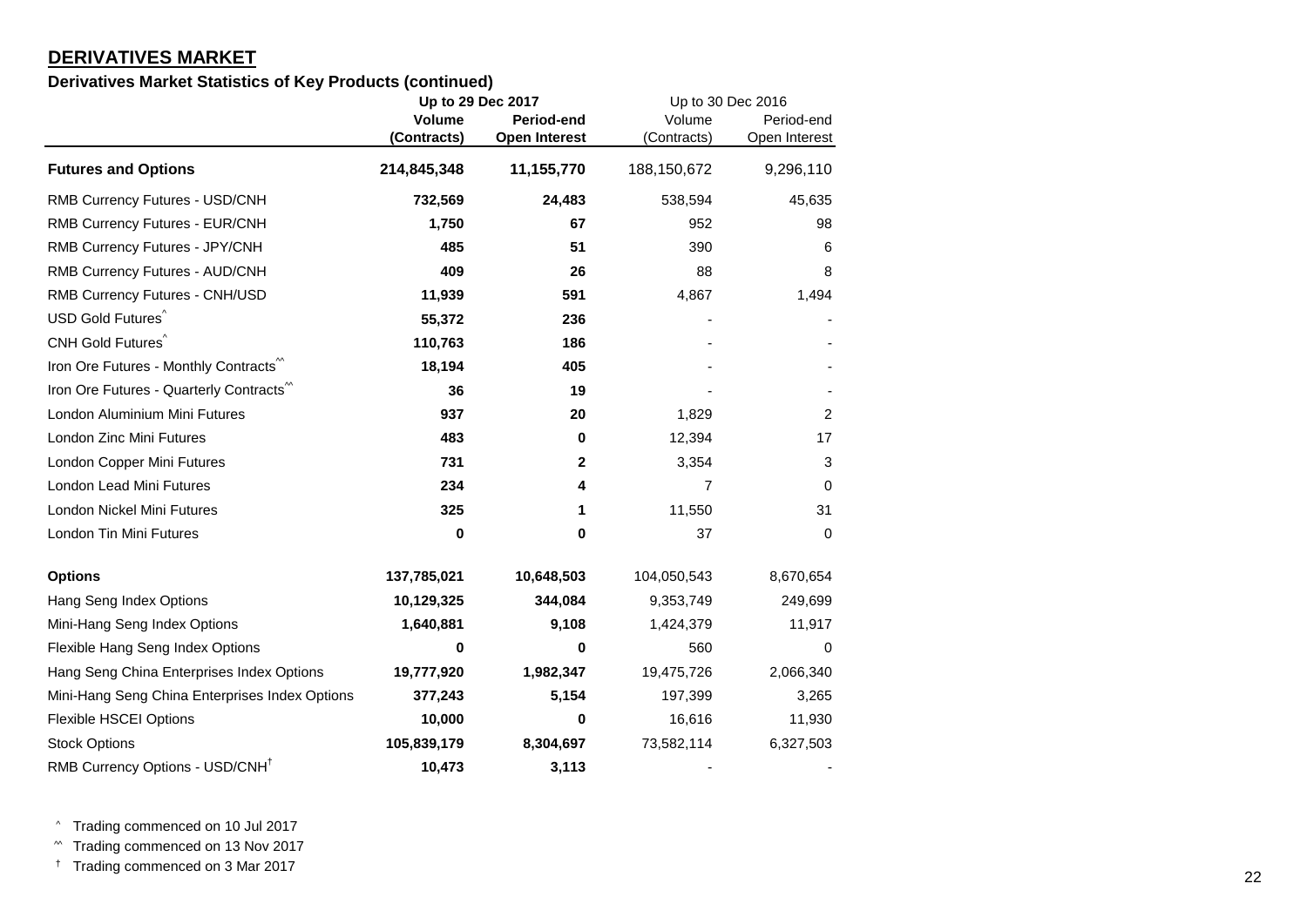### **DERIVATIVES MARKET**

### **Derivatives Market Statistics of Key Products (continued)**

|                                                | Up to 29 Dec 2017 |                      | Up to 30 Dec 2016 |                |
|------------------------------------------------|-------------------|----------------------|-------------------|----------------|
|                                                | <b>Volume</b>     | Period-end           | Volume            | Period-end     |
|                                                | (Contracts)       | <b>Open Interest</b> | (Contracts)       | Open Interest  |
| <b>Futures and Options</b>                     | 214,845,348       | 11,155,770           | 188,150,672       | 9,296,110      |
| RMB Currency Futures - USD/CNH                 | 732,569           | 24,483               | 538,594           | 45,635         |
| RMB Currency Futures - EUR/CNH                 | 1,750             | 67                   | 952               | 98             |
| RMB Currency Futures - JPY/CNH                 | 485               | 51                   | 390               | 6              |
| RMB Currency Futures - AUD/CNH                 | 409               | 26                   | 88                | 8              |
| RMB Currency Futures - CNH/USD                 | 11,939            | 591                  | 4,867             | 1,494          |
| USD Gold Futures <sup>^</sup>                  | 55,372            | 236                  |                   |                |
| CNH Gold Futures <sup>^</sup>                  | 110,763           | 186                  |                   |                |
| Iron Ore Futures - Monthly Contracts           | 18,194            | 405                  |                   |                |
| Iron Ore Futures - Quarterly Contracts         | 36                | 19                   |                   |                |
| London Aluminium Mini Futures                  | 937               | 20                   | 1,829             | $\overline{c}$ |
| London Zinc Mini Futures                       | 483               | 0                    | 12,394            | 17             |
| London Copper Mini Futures                     | 731               | $\mathbf{2}$         | 3,354             | 3              |
| London Lead Mini Futures                       | 234               | 4                    | 7                 | 0              |
| London Nickel Mini Futures                     | 325               | 1                    | 11,550            | 31             |
| London Tin Mini Futures                        | 0                 | 0                    | 37                | 0              |
| <b>Options</b>                                 | 137,785,021       | 10,648,503           | 104,050,543       | 8,670,654      |
| Hang Seng Index Options                        | 10,129,325        | 344,084              | 9,353,749         | 249,699        |
| Mini-Hang Seng Index Options                   | 1,640,881         | 9,108                | 1,424,379         | 11,917         |
| Flexible Hang Seng Index Options               | 0                 | 0                    | 560               | 0              |
| Hang Seng China Enterprises Index Options      | 19,777,920        | 1,982,347            | 19,475,726        | 2,066,340      |
| Mini-Hang Seng China Enterprises Index Options | 377,243           | 5,154                | 197,399           | 3,265          |
| <b>Flexible HSCEI Options</b>                  | 10,000            | 0                    | 16,616            | 11,930         |
| <b>Stock Options</b>                           | 105,839,179       | 8,304,697            | 73,582,114        | 6,327,503      |
| RMB Currency Options - USD/CNH <sup>+</sup>    | 10,473            | 3,113                |                   |                |

^ Trading commenced on 10 Jul 2017

^^ Trading commenced on 13 Nov 2017

† Trading commenced on 3 Mar 2017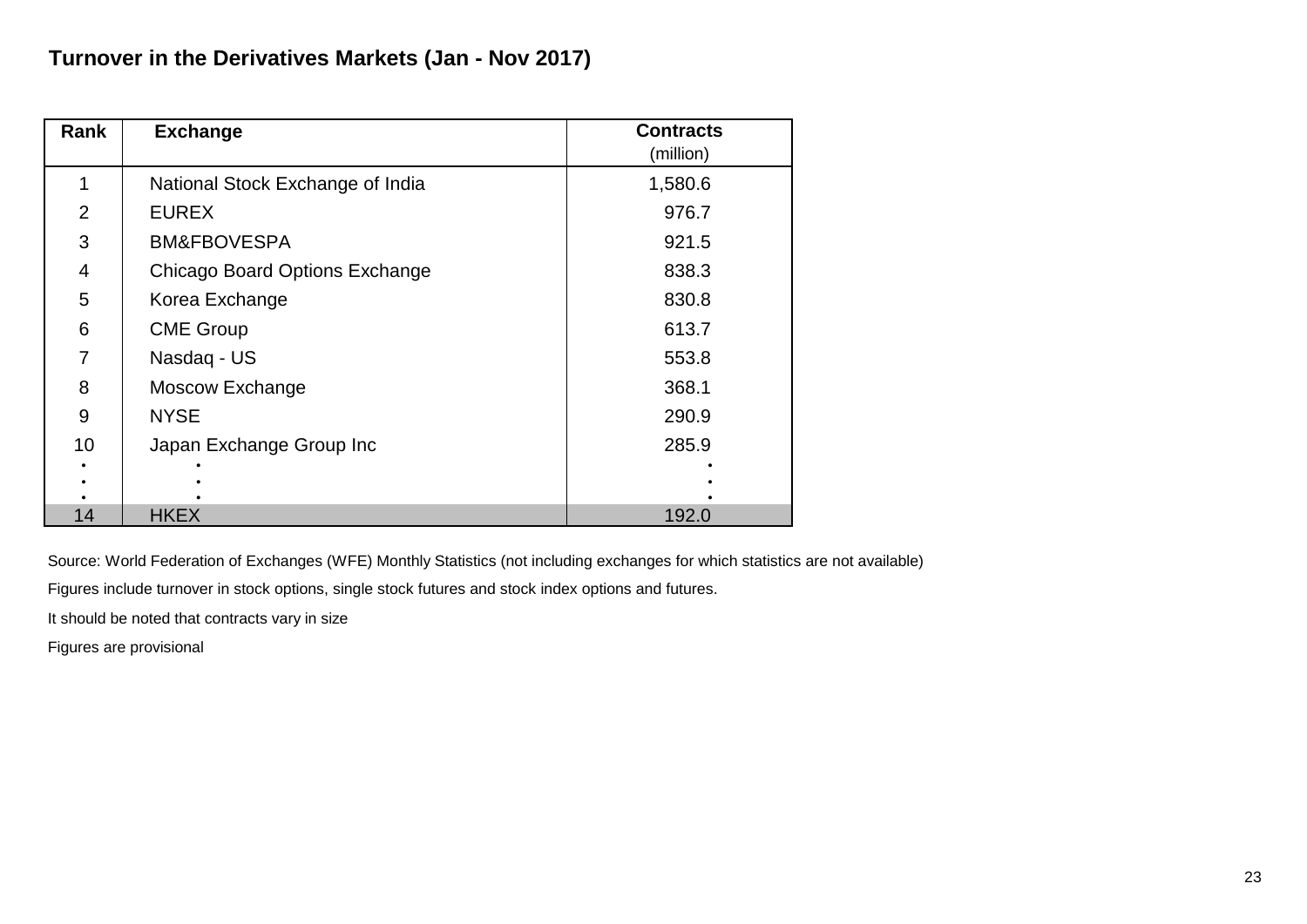| Rank           | <b>Exchange</b>                  | <b>Contracts</b> |
|----------------|----------------------------------|------------------|
|                |                                  | (million)        |
|                | National Stock Exchange of India | 1,580.6          |
| 2              | <b>EUREX</b>                     | 976.7            |
| 3              | <b>BM&amp;FBOVESPA</b>           | 921.5            |
| $\overline{4}$ | Chicago Board Options Exchange   | 838.3            |
| 5              | Korea Exchange                   | 830.8            |
| 6              | <b>CME Group</b>                 | 613.7            |
| 7              | Nasdaq - US                      | 553.8            |
| 8              | Moscow Exchange                  | 368.1            |
| 9              | <b>NYSE</b>                      | 290.9            |
| 10             | Japan Exchange Group Inc         | 285.9            |
|                |                                  |                  |
|                |                                  |                  |
| 14             | <b>HKEX</b>                      | 192.0            |

Figures include turnover in stock options, single stock futures and stock index options and futures.

It should be noted that contracts vary in size

Figures are provisional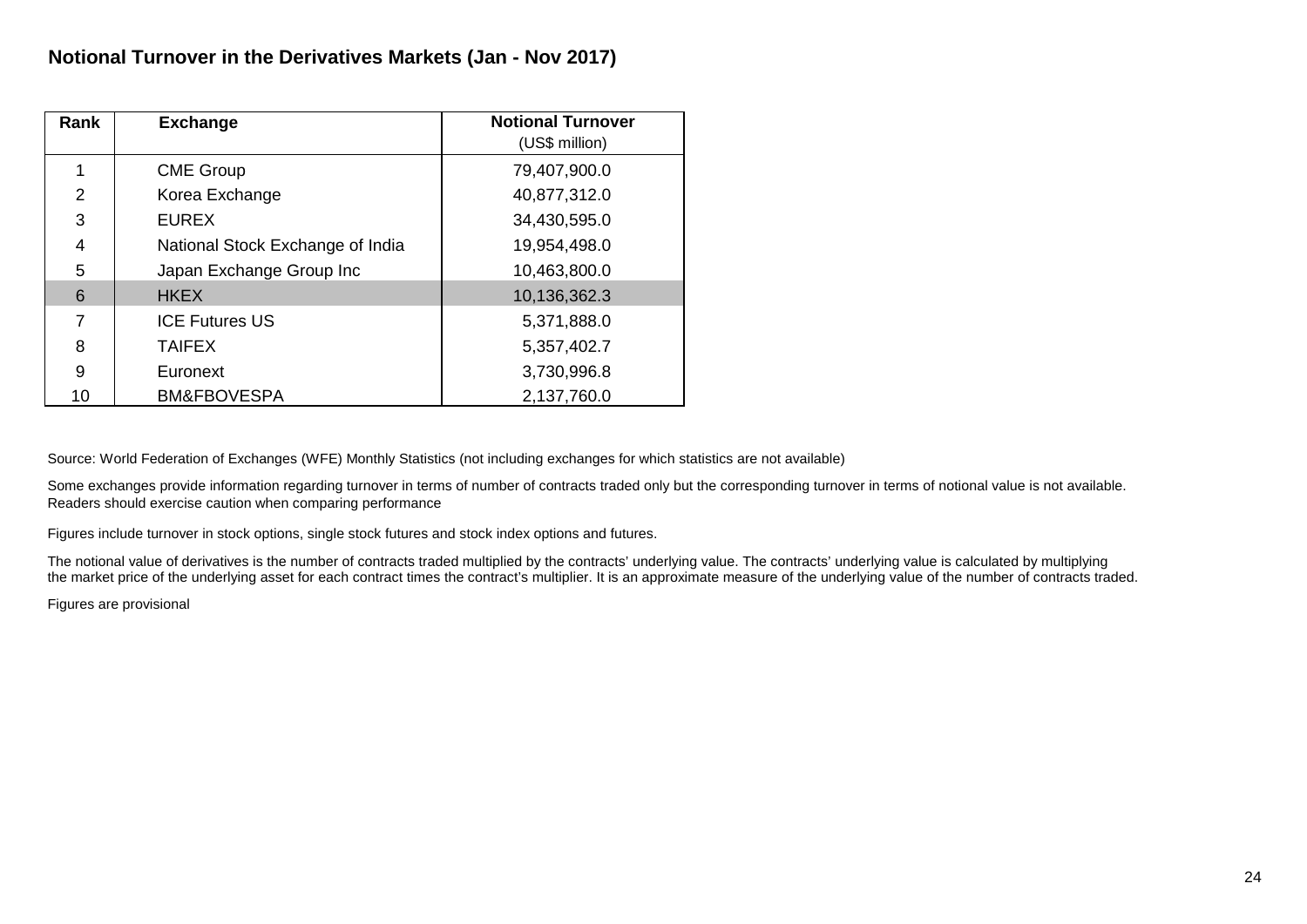| Rank           | <b>Exchange</b>                  | <b>Notional Turnover</b> |
|----------------|----------------------------------|--------------------------|
|                |                                  | (US\$ million)           |
|                | <b>CME Group</b>                 | 79,407,900.0             |
| $\overline{2}$ | Korea Exchange                   | 40,877,312.0             |
| 3              | <b>EUREX</b>                     | 34,430,595.0             |
| 4              | National Stock Exchange of India | 19,954,498.0             |
| 5              | Japan Exchange Group Inc         | 10,463,800.0             |
| 6              | <b>HKEX</b>                      | 10,136,362.3             |
| 7              | <b>ICE Futures US</b>            | 5,371,888.0              |
| 8              | <b>TAIFEX</b>                    | 5,357,402.7              |
| 9              | Euronext                         | 3,730,996.8              |
| 10             | <b>BM&amp;FBOVESPA</b>           | 2,137,760.0              |

Some exchanges provide information regarding turnover in terms of number of contracts traded only but the corresponding turnover in terms of notional value is not available. Readers should exercise caution when comparing performance

Figures include turnover in stock options, single stock futures and stock index options and futures.

The notional value of derivatives is the number of contracts traded multiplied by the contracts' underlying value. The contracts' underlying value is calculated by multiplying the market price of the underlying asset for each contract times the contract's multiplier. It is an approximate measure of the underlying value of the number of contracts traded.

Figures are provisional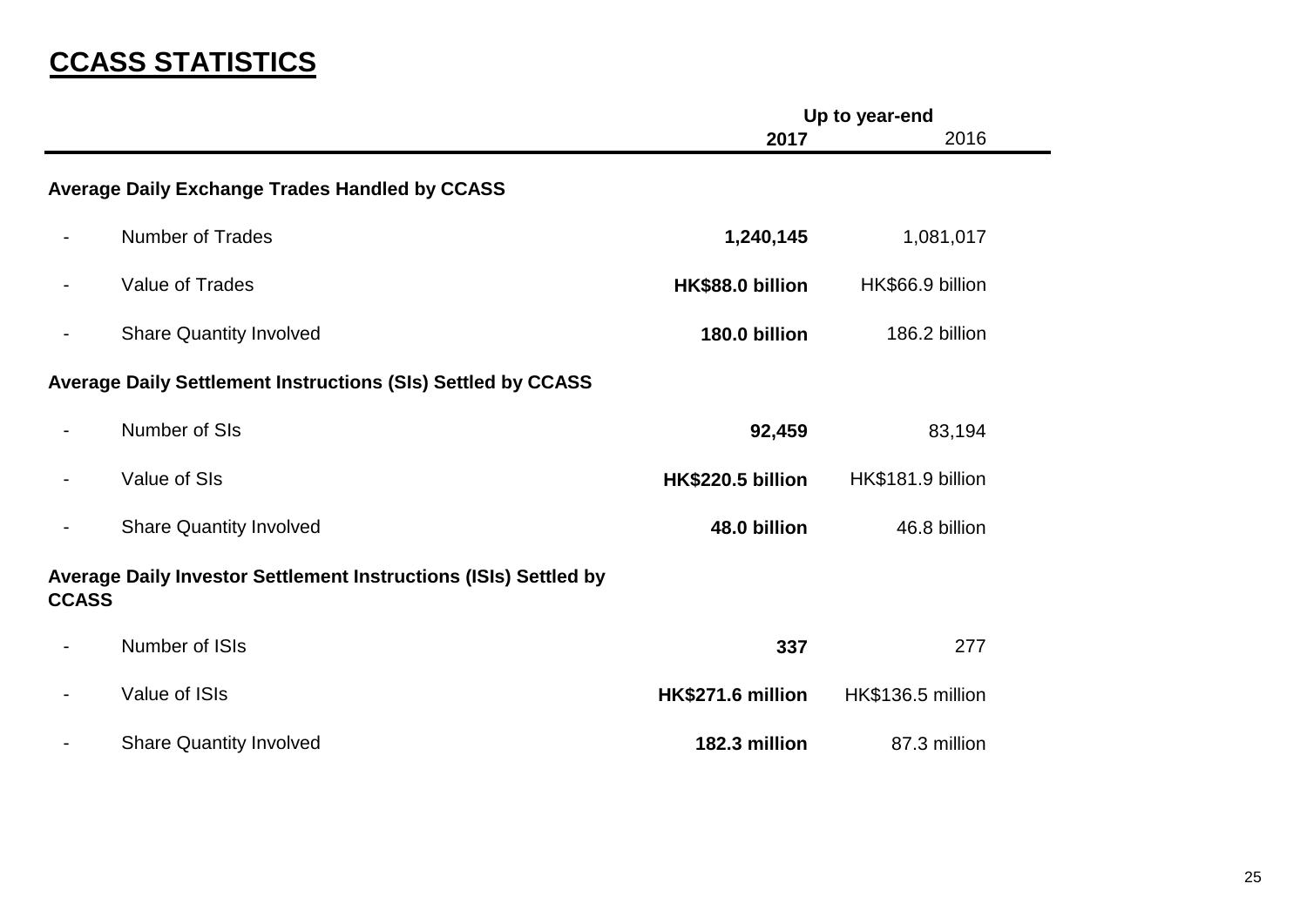# **CCASS STATISTICS**

|                |                                                                     | Up to year-end    |                   |  |
|----------------|---------------------------------------------------------------------|-------------------|-------------------|--|
|                |                                                                     | 2017              | 2016              |  |
|                | <b>Average Daily Exchange Trades Handled by CCASS</b>               |                   |                   |  |
|                | <b>Number of Trades</b>                                             | 1,240,145         | 1,081,017         |  |
|                | Value of Trades                                                     | HK\$88.0 billion  | HK\$66.9 billion  |  |
| $\blacksquare$ | <b>Share Quantity Involved</b>                                      | 180.0 billion     | 186.2 billion     |  |
|                | <b>Average Daily Settlement Instructions (SIs) Settled by CCASS</b> |                   |                   |  |
|                | Number of SIs                                                       | 92,459            | 83,194            |  |
|                | Value of SIs                                                        | HK\$220.5 billion | HK\$181.9 billion |  |
| $\overline{a}$ | <b>Share Quantity Involved</b>                                      | 48.0 billion      | 46.8 billion      |  |
| <b>CCASS</b>   | Average Daily Investor Settlement Instructions (ISIs) Settled by    |                   |                   |  |
|                | Number of ISIs                                                      | 337               | 277               |  |
|                | Value of ISIs                                                       | HK\$271.6 million | HK\$136.5 million |  |
|                | <b>Share Quantity Involved</b>                                      | 182.3 million     | 87.3 million      |  |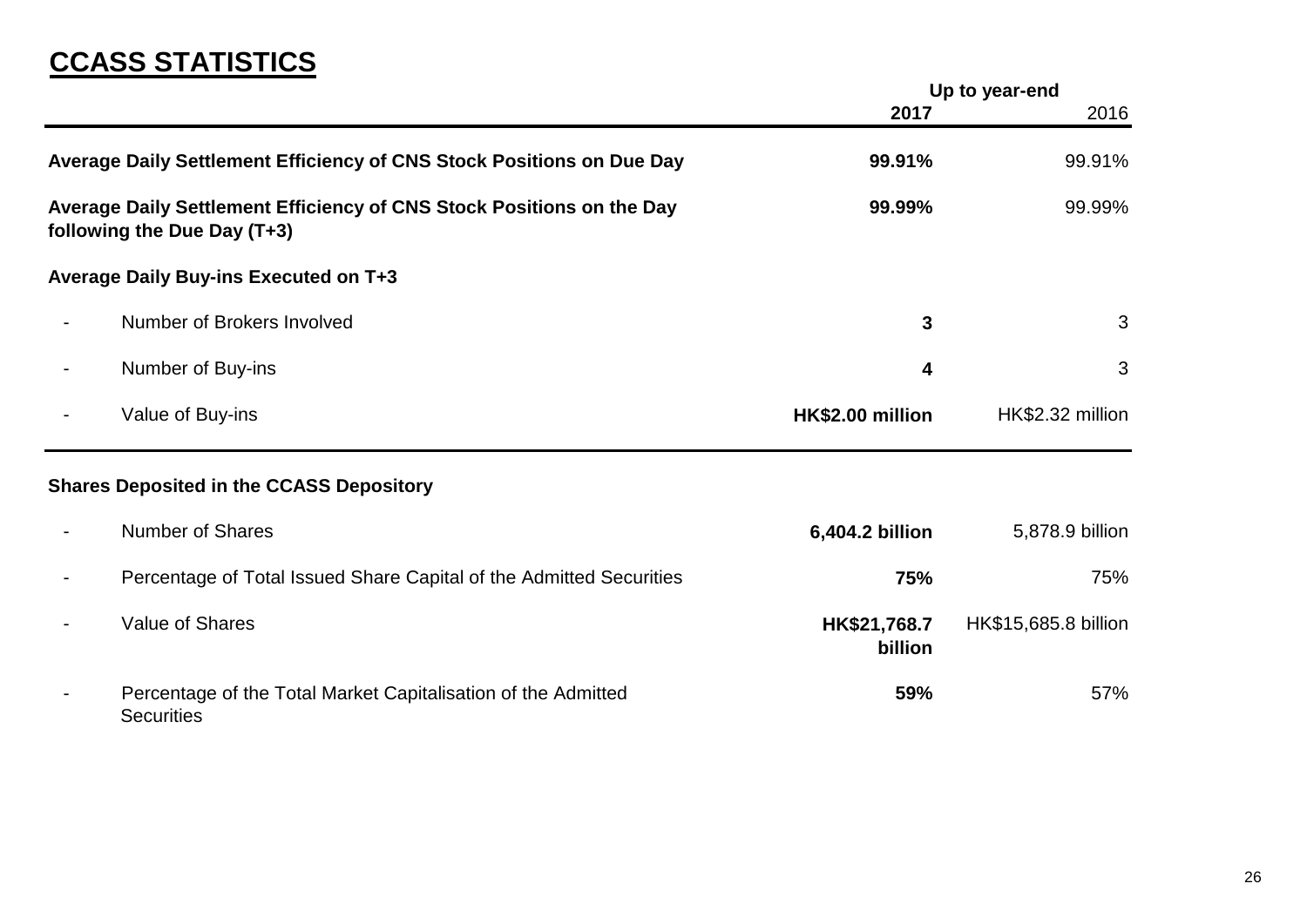# **CCASS STATISTICS**

|                                                                                                      | Up to year-end          |                      |
|------------------------------------------------------------------------------------------------------|-------------------------|----------------------|
|                                                                                                      | 2017                    | 2016                 |
| Average Daily Settlement Efficiency of CNS Stock Positions on Due Day                                | 99.91%                  | 99.91%               |
| Average Daily Settlement Efficiency of CNS Stock Positions on the Day<br>following the Due Day (T+3) | 99.99%                  | 99.99%               |
| Average Daily Buy-ins Executed on T+3                                                                |                         |                      |
| Number of Brokers Involved                                                                           | 3                       | 3                    |
| Number of Buy-ins                                                                                    | 4                       | $\mathfrak{S}$       |
| Value of Buy-ins                                                                                     | HK\$2.00 million        | HK\$2.32 million     |
| <b>Shares Deposited in the CCASS Depository</b>                                                      |                         |                      |
| <b>Number of Shares</b>                                                                              | 6,404.2 billion         | 5,878.9 billion      |
| Percentage of Total Issued Share Capital of the Admitted Securities                                  | 75%                     | 75%                  |
| Value of Shares                                                                                      | HK\$21,768.7<br>billion | HK\$15,685.8 billion |
| Percentage of the Total Market Capitalisation of the Admitted<br><b>Securities</b>                   | 59%                     | 57%                  |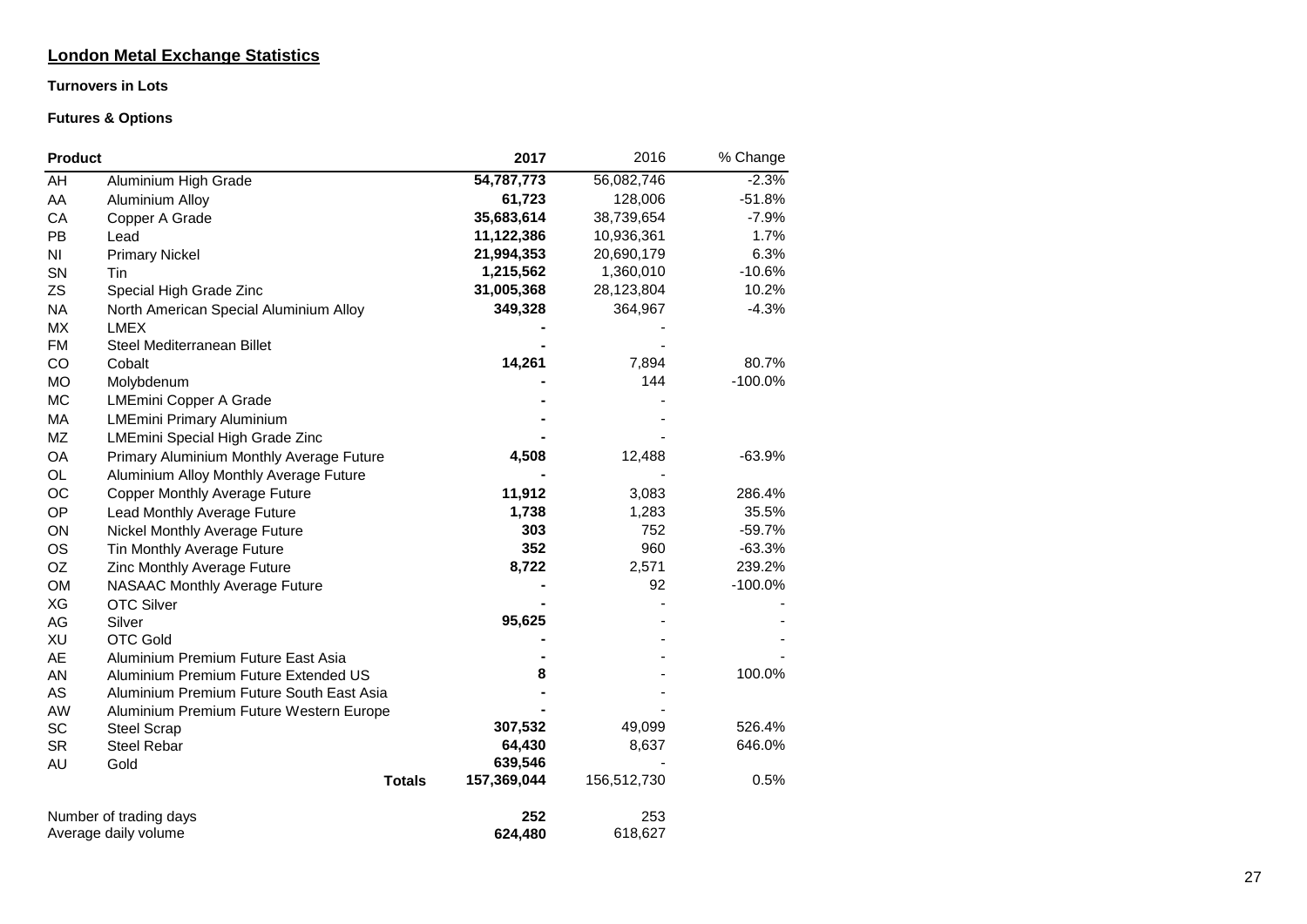### **London Metal Exchange Statistics**

#### **Turnovers in Lots**

### **Futures & Options**

| <b>Product</b> |                                          | 2017        | 2016        | % Change  |
|----------------|------------------------------------------|-------------|-------------|-----------|
| AH             | Aluminium High Grade                     | 54,787,773  | 56,082,746  | $-2.3%$   |
| AA             | <b>Aluminium Alloy</b>                   | 61,723      | 128,006     | $-51.8%$  |
| CA             | Copper A Grade                           | 35,683,614  | 38,739,654  | $-7.9%$   |
| PB             | Lead                                     | 11,122,386  | 10,936,361  | 1.7%      |
| ΝI             | <b>Primary Nickel</b>                    | 21,994,353  | 20,690,179  | 6.3%      |
| SN             | Tin                                      | 1,215,562   | 1,360,010   | $-10.6%$  |
| <b>ZS</b>      | Special High Grade Zinc                  | 31,005,368  | 28,123,804  | 10.2%     |
| <b>NA</b>      | North American Special Aluminium Alloy   | 349,328     | 364,967     | $-4.3%$   |
| <b>MX</b>      | <b>LMEX</b>                              |             |             |           |
| <b>FM</b>      | Steel Mediterranean Billet               |             |             |           |
| CO             | Cobalt                                   | 14,261      | 7,894       | 80.7%     |
| <b>MO</b>      | Molybdenum                               |             | 144         | $-100.0%$ |
| <b>MC</b>      | <b>LMEmini Copper A Grade</b>            |             |             |           |
| MA             | <b>LMEmini Primary Aluminium</b>         |             |             |           |
| MZ             | LMEmini Special High Grade Zinc          |             |             |           |
| OA             | Primary Aluminium Monthly Average Future | 4,508       | 12,488      | $-63.9%$  |
| OL             | Aluminium Alloy Monthly Average Future   |             |             |           |
| ОC             | <b>Copper Monthly Average Future</b>     | 11,912      | 3,083       | 286.4%    |
| OP             | Lead Monthly Average Future              | 1,738       | 1,283       | 35.5%     |
| ON             | <b>Nickel Monthly Average Future</b>     | 303         | 752         | $-59.7%$  |
| <b>OS</b>      | Tin Monthly Average Future               | 352         | 960         | $-63.3%$  |
| OZ             | Zinc Monthly Average Future              | 8,722       | 2,571       | 239.2%    |
| <b>OM</b>      | <b>NASAAC Monthly Average Future</b>     |             | 92          | $-100.0%$ |
| XG             | <b>OTC Silver</b>                        |             |             |           |
| AG             | Silver                                   | 95,625      |             |           |
| XU             | <b>OTC Gold</b>                          |             |             |           |
| AE             | Aluminium Premium Future East Asia       |             |             |           |
| AN             | Aluminium Premium Future Extended US     | 8           |             | 100.0%    |
| AS             | Aluminium Premium Future South East Asia |             |             |           |
| AW             | Aluminium Premium Future Western Europe  |             |             |           |
| SC             | <b>Steel Scrap</b>                       | 307,532     | 49,099      | 526.4%    |
| <b>SR</b>      | <b>Steel Rebar</b>                       | 64,430      | 8,637       | 646.0%    |
| AU             | Gold                                     | 639,546     |             |           |
|                | <b>Totals</b>                            | 157,369,044 | 156,512,730 | 0.5%      |
|                | Number of trading days                   | 252         | 253         |           |
|                | Average daily volume                     | 624,480     | 618,627     |           |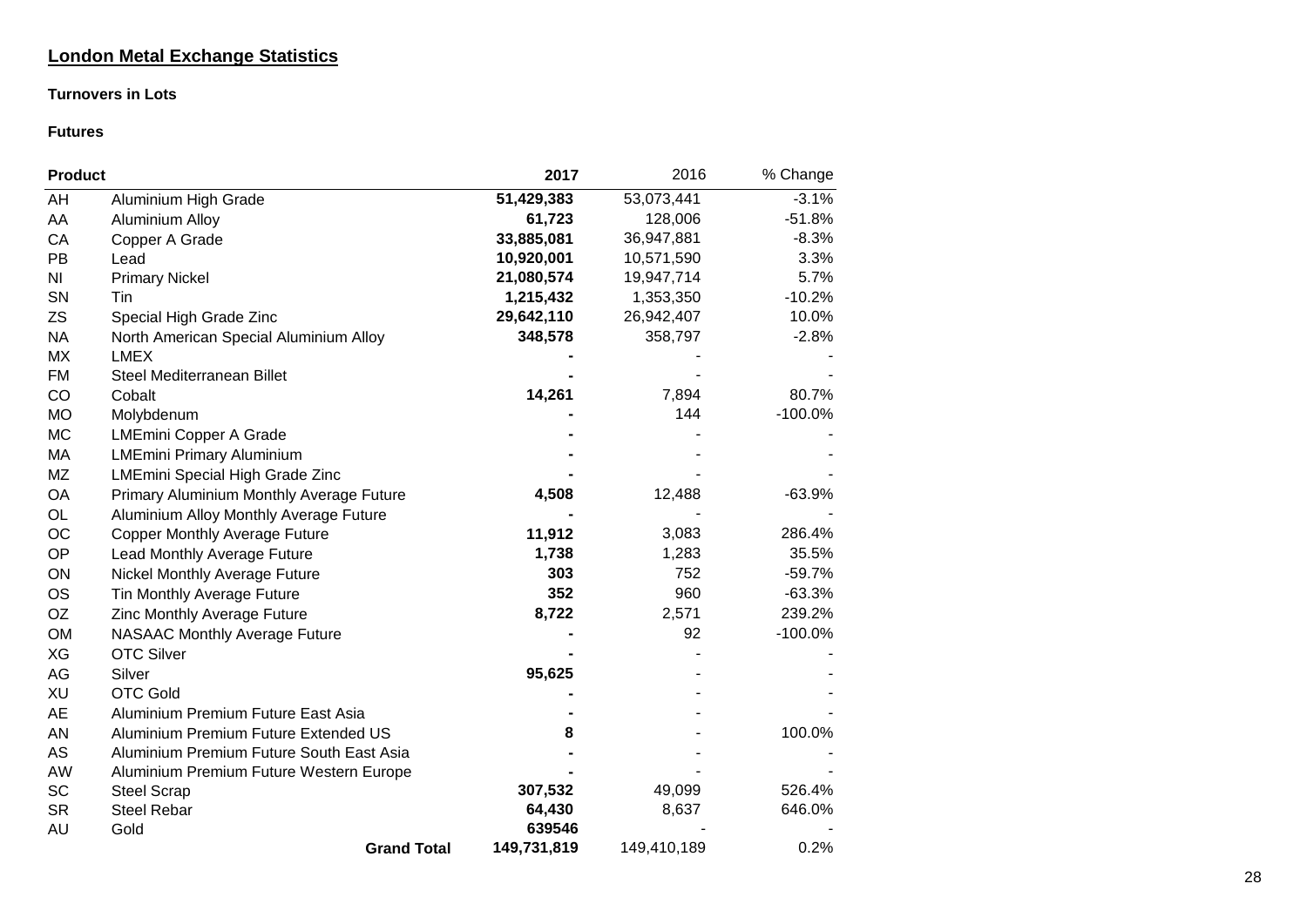### **London Metal Exchange Statistics**

### **Turnovers in Lots**

### **Futures**

| <b>Product</b> |                                          | 2017        | 2016        | % Change  |
|----------------|------------------------------------------|-------------|-------------|-----------|
| AH             | Aluminium High Grade                     | 51,429,383  | 53,073,441  | $-3.1%$   |
| AA             | <b>Aluminium Alloy</b>                   | 61,723      | 128,006     | $-51.8%$  |
| CA             | Copper A Grade                           | 33,885,081  | 36,947,881  | $-8.3%$   |
| PB             | Lead                                     | 10,920,001  | 10,571,590  | 3.3%      |
| N <sub>1</sub> | <b>Primary Nickel</b>                    | 21,080,574  | 19,947,714  | 5.7%      |
| SN             | Tin                                      | 1,215,432   | 1,353,350   | $-10.2%$  |
| <b>ZS</b>      | Special High Grade Zinc                  | 29,642,110  | 26,942,407  | 10.0%     |
| <b>NA</b>      | North American Special Aluminium Alloy   | 348,578     | 358,797     | $-2.8%$   |
| MX             | <b>LMEX</b>                              |             |             |           |
| <b>FM</b>      | Steel Mediterranean Billet               |             |             |           |
| CO             | Cobalt                                   | 14,261      | 7,894       | 80.7%     |
| <b>MO</b>      | Molybdenum                               |             | 144         | $-100.0%$ |
| <b>MC</b>      | <b>LMEmini Copper A Grade</b>            |             |             |           |
| MA             | <b>LMEmini Primary Aluminium</b>         |             |             |           |
| <b>MZ</b>      | <b>LMEmini Special High Grade Zinc</b>   |             |             |           |
| OA             | Primary Aluminium Monthly Average Future | 4,508       | 12,488      | $-63.9%$  |
| OL             | Aluminium Alloy Monthly Average Future   |             |             |           |
| OC             | <b>Copper Monthly Average Future</b>     | 11,912      | 3,083       | 286.4%    |
| OP             | Lead Monthly Average Future              | 1,738       | 1,283       | 35.5%     |
| ON             | Nickel Monthly Average Future            | 303         | 752         | $-59.7%$  |
| <b>OS</b>      | Tin Monthly Average Future               | 352         | 960         | $-63.3%$  |
| <b>OZ</b>      | Zinc Monthly Average Future              | 8,722       | 2,571       | 239.2%    |
| <b>OM</b>      | <b>NASAAC Monthly Average Future</b>     |             | 92          | $-100.0%$ |
| XG             | <b>OTC Silver</b>                        |             |             |           |
| AG             | Silver                                   | 95,625      |             |           |
| XU             | <b>OTC Gold</b>                          |             |             |           |
| <b>AE</b>      | Aluminium Premium Future East Asia       |             |             |           |
| AN             | Aluminium Premium Future Extended US     | 8           |             | 100.0%    |
| AS             | Aluminium Premium Future South East Asia |             |             |           |
| AW             | Aluminium Premium Future Western Europe  |             |             |           |
| SC             | <b>Steel Scrap</b>                       | 307,532     | 49,099      | 526.4%    |
| <b>SR</b>      | <b>Steel Rebar</b>                       | 64,430      | 8,637       | 646.0%    |
| AU             | Gold                                     | 639546      |             |           |
|                | <b>Grand Total</b>                       | 149,731,819 | 149,410,189 | 0.2%      |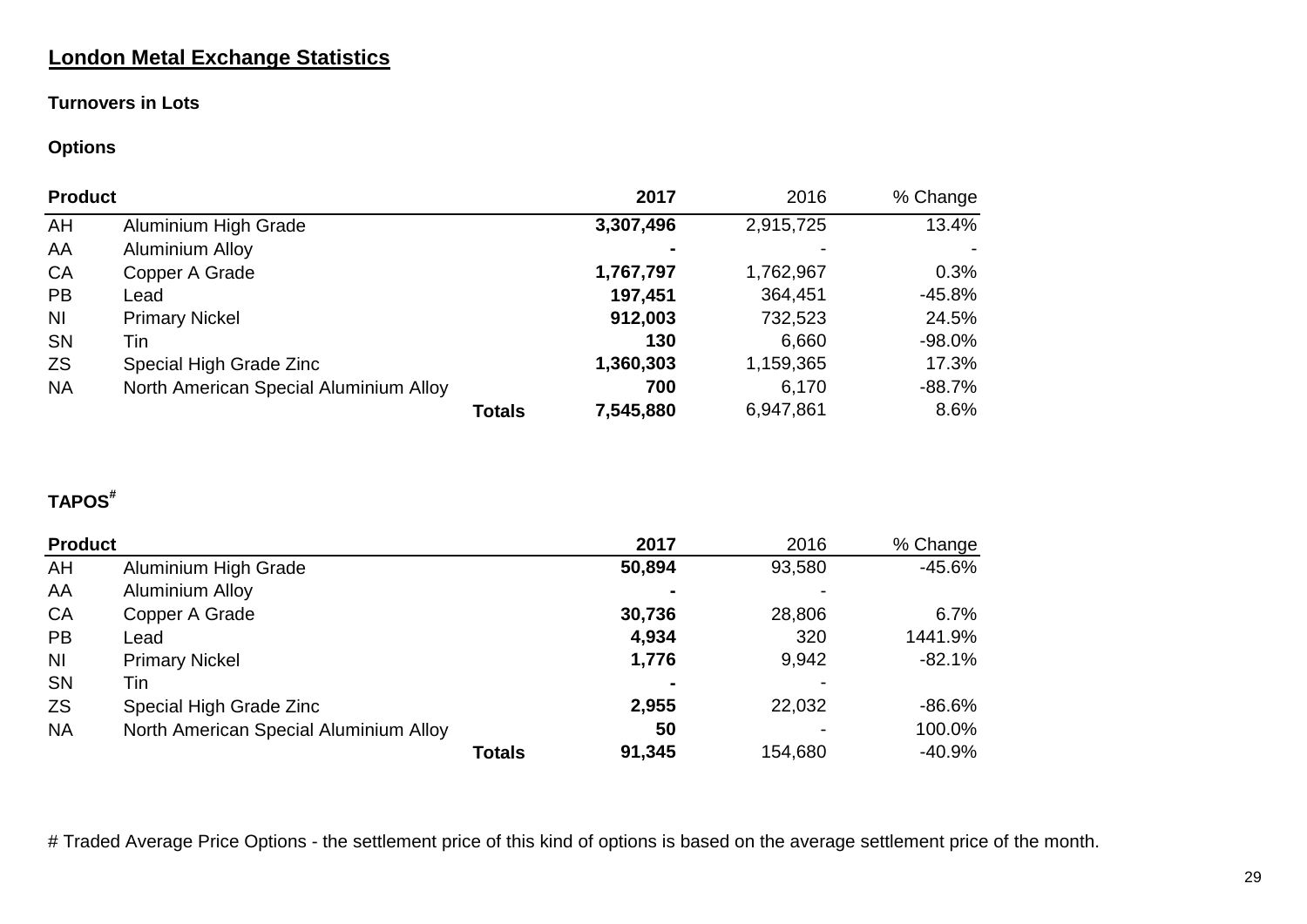# **London Metal Exchange Statistics**

### **Turnovers in Lots**

## **Options**

| <b>Product</b> |                                        | 2017      | 2016      | % Change |
|----------------|----------------------------------------|-----------|-----------|----------|
| AH             | Aluminium High Grade                   | 3,307,496 | 2,915,725 | 13.4%    |
| AA             | <b>Aluminium Alloy</b>                 |           |           |          |
| <b>CA</b>      | Copper A Grade                         | 1,767,797 | 1,762,967 | 0.3%     |
| <b>PB</b>      | Lead                                   | 197,451   | 364,451   | $-45.8%$ |
| N <sub>1</sub> | <b>Primary Nickel</b>                  | 912,003   | 732,523   | 24.5%    |
| <b>SN</b>      | Tin                                    | 130       | 6,660     | $-98.0%$ |
| <b>ZS</b>      | Special High Grade Zinc                | 1,360,303 | 1,159,365 | 17.3%    |
| <b>NA</b>      | North American Special Aluminium Alloy | 700       | 6,170     | $-88.7%$ |
|                | <b>Totals</b>                          | 7,545,880 | 6,947,861 | 8.6%     |

# **TAPOS#**

| <b>Product</b> |                                        | 2017   | 2016    | % Change  |
|----------------|----------------------------------------|--------|---------|-----------|
| AH             | Aluminium High Grade                   | 50,894 | 93,580  | $-45.6%$  |
| AA             | <b>Aluminium Alloy</b>                 |        |         |           |
| <b>CA</b>      | Copper A Grade                         | 30,736 | 28,806  | 6.7%      |
| <b>PB</b>      | Lead                                   | 4,934  | 320     | 1441.9%   |
| <b>NI</b>      | <b>Primary Nickel</b>                  | 1,776  | 9,942   | $-82.1%$  |
| <b>SN</b>      | Tin                                    |        |         |           |
| <b>ZS</b>      | Special High Grade Zinc                | 2,955  | 22,032  | $-86.6\%$ |
| <b>NA</b>      | North American Special Aluminium Alloy | 50     |         | 100.0%    |
|                | <b>Totals</b>                          | 91,345 | 154,680 | $-40.9\%$ |

# Traded Average Price Options - the settlement price of this kind of options is based on the average settlement price of the month.